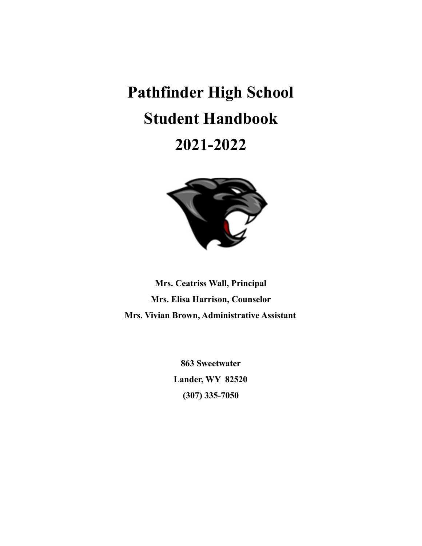# **Pathfinder High School Student Handbook 2021-2022**



**Mrs. Ceatriss Wall, Principal Mrs. Elisa Harrison, Counselor Mrs. Vivian Brown, Administrative Assistant**

> **863 Sweetwater Lander, WY 82520 (307) 335-7050**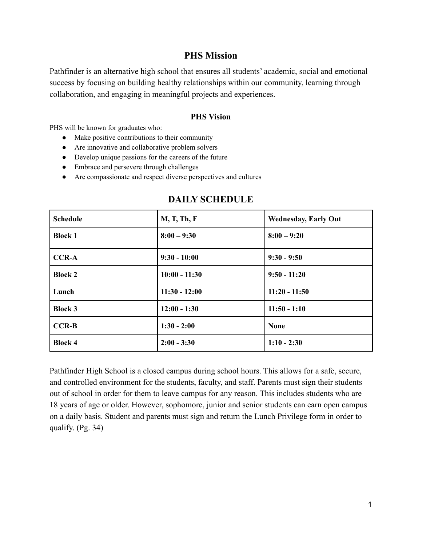# **PHS Mission**

Pathfinder is an alternative high school that ensures all students' academic, social and emotional success by focusing on building healthy relationships within our community, learning through collaboration, and engaging in meaningful projects and experiences.

# **PHS Vision**

PHS will be known for graduates who:

- Make positive contributions to their community
- Are innovative and collaborative problem solvers
- Develop unique passions for the careers of the future
- Embrace and persevere through challenges
- Are compassionate and respect diverse perspectives and cultures

| <b>Schedule</b> | <b>M, T, Th, F</b> | <b>Wednesday, Early Out</b> |
|-----------------|--------------------|-----------------------------|
| <b>Block 1</b>  | $8:00 - 9:30$      | $8:00 - 9:20$               |
| <b>CCR-A</b>    | $9:30 - 10:00$     | $9:30 - 9:50$               |
| <b>Block 2</b>  | $10:00 - 11:30$    | $9:50 - 11:20$              |
| Lunch           | $11:30 - 12:00$    | $11:20 - 11:50$             |
| <b>Block 3</b>  | $12:00 - 1:30$     | $11:50 - 1:10$              |
| $CCR-B$         | $1:30 - 2:00$      | <b>None</b>                 |
| <b>Block 4</b>  | $2:00 - 3:30$      | $1:10 - 2:30$               |

# **DAILY SCHEDULE**

Pathfinder High School is a closed campus during school hours. This allows for a safe, secure, and controlled environment for the students, faculty, and staff. Parents must sign their students out of school in order for them to leave campus for any reason. This includes students who are 18 years of age or older. However, sophomore, junior and senior students can earn open campus on a daily basis. Student and parents must sign and return the Lunch Privilege form in order to qualify. (Pg. 34)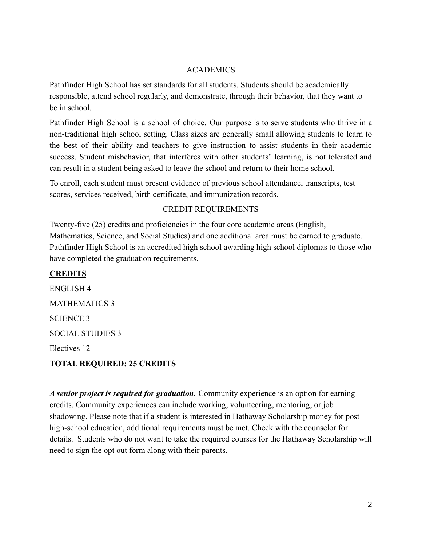# ACADEMICS

Pathfinder High School has set standards for all students. Students should be academically responsible, attend school regularly, and demonstrate, through their behavior, that they want to be in school.

Pathfinder High School is a school of choice. Our purpose is to serve students who thrive in a non-traditional high school setting. Class sizes are generally small allowing students to learn to the best of their ability and teachers to give instruction to assist students in their academic success. Student misbehavior, that interferes with other students' learning, is not tolerated and can result in a student being asked to leave the school and return to their home school.

To enroll, each student must present evidence of previous school attendance, transcripts, test scores, services received, birth certificate, and immunization records.

# CREDIT REQUIREMENTS

Twenty-five (25) credits and proficiencies in the four core academic areas (English, Mathematics, Science, and Social Studies) and one additional area must be earned to graduate. Pathfinder High School is an accredited high school awarding high school diplomas to those who have completed the graduation requirements.

# **CREDITS** ENGLISH 4 MATHEMATICS 3 SCIENCE 3 SOCIAL STUDIES 3 Electives 12 **TOTAL REQUIRED: 25 CREDITS**

*A senior project is required for graduation.* Community experience is an option for earning credits. Community experiences can include working, volunteering, mentoring, or job shadowing. Please note that if a student is interested in Hathaway Scholarship money for post high-school education, additional requirements must be met. Check with the counselor for details. Students who do not want to take the required courses for the Hathaway Scholarship will need to sign the opt out form along with their parents.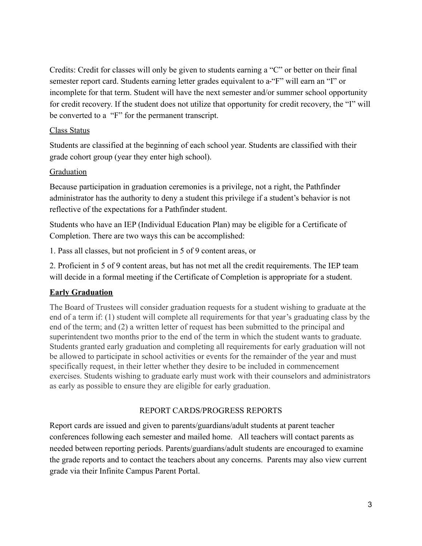Credits: Credit for classes will only be given to students earning a "C" or better on their final semester report card. Students earning letter grades equivalent to a-"F" will earn an "I" or incomplete for that term. Student will have the next semester and/or summer school opportunity for credit recovery. If the student does not utilize that opportunity for credit recovery, the "I" will be converted to a "F" for the permanent transcript.

# Class Status

Students are classified at the beginning of each school year. Students are classified with their grade cohort group (year they enter high school).

# Graduation

Because participation in graduation ceremonies is a privilege, not a right, the Pathfinder administrator has the authority to deny a student this privilege if a student's behavior is not reflective of the expectations for a Pathfinder student.

Students who have an IEP (Individual Education Plan) may be eligible for a Certificate of Completion. There are two ways this can be accomplished:

1. Pass all classes, but not proficient in 5 of 9 content areas, or

2. Proficient in 5 of 9 content areas, but has not met all the credit requirements. The IEP team will decide in a formal meeting if the Certificate of Completion is appropriate for a student.

# **Early Graduation**

The Board of Trustees will consider graduation requests for a student wishing to graduate at the end of a term if: (1) student will complete all requirements for that year's graduating class by the end of the term; and (2) a written letter of request has been submitted to the principal and superintendent two months prior to the end of the term in which the student wants to graduate. Students granted early graduation and completing all requirements for early graduation will not be allowed to participate in school activities or events for the remainder of the year and must specifically request, in their letter whether they desire to be included in commencement exercises. Students wishing to graduate early must work with their counselors and administrators as early as possible to ensure they are eligible for early graduation.

# REPORT CARDS/PROGRESS REPORTS

Report cards are issued and given to parents/guardians/adult students at parent teacher conferences following each semester and mailed home. All teachers will contact parents as needed between reporting periods. Parents/guardians/adult students are encouraged to examine the grade reports and to contact the teachers about any concerns. Parents may also view current grade via their Infinite Campus Parent Portal.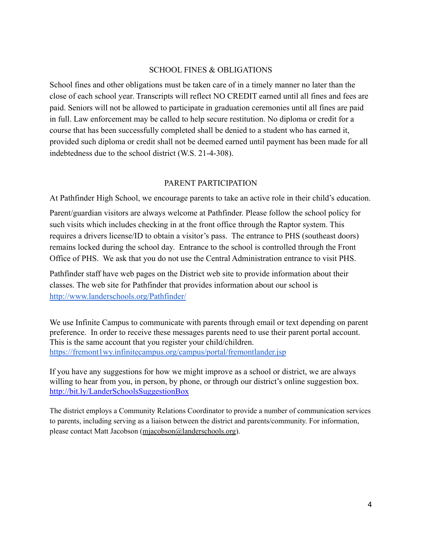# SCHOOL FINES & OBLIGATIONS

School fines and other obligations must be taken care of in a timely manner no later than the close of each school year. Transcripts will reflect NO CREDIT earned until all fines and fees are paid. Seniors will not be allowed to participate in graduation ceremonies until all fines are paid in full. Law enforcement may be called to help secure restitution. No diploma or credit for a course that has been successfully completed shall be denied to a student who has earned it, provided such diploma or credit shall not be deemed earned until payment has been made for all indebtedness due to the school district (W.S. 21-4-308).

# PARENT PARTICIPATION

At Pathfinder High School, we encourage parents to take an active role in their child's education.

Parent/guardian visitors are always welcome at Pathfinder. Please follow the school policy for such visits which includes checking in at the front office through the Raptor system. This requires a drivers license/ID to obtain a visitor's pass. The entrance to PHS (southeast doors) remains locked during the school day. Entrance to the school is controlled through the Front Office of PHS. We ask that you do not use the Central Administration entrance to visit PHS.

Pathfinder staff have web pages on the District web site to provide information about their classes. The web site for Pathfinder that provides information about our school is <http://www.landerschools.org/Pathfinder/>

We use Infinite Campus to communicate with parents through email or text depending on parent preference. In order to receive these messages parents need to use their parent portal account. This is the same account that you register your child/children. <https://fremont1wy.infinitecampus.org/campus/portal/fremontlander.jsp>

If you have any suggestions for how we might improve as a school or district, we are always willing to hear from you, in person, by phone, or through our district's online suggestion box. <http://bit.ly/LanderSchoolsSuggestionBox>

The district employs a Community Relations Coordinator to provide a number of communication services to parents, including serving as a liaison between the district and parents/community. For information, please contact Matt Jacobson ([mjacobson@landerschools.org](mailto:mjacobson@landerschools.org)).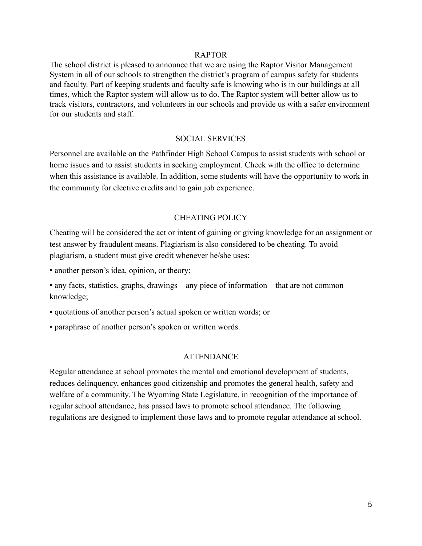### RAPTOR

The school district is pleased to announce that we are using the Raptor Visitor Management System in all of our schools to strengthen the district's program of campus safety for students and faculty. Part of keeping students and faculty safe is knowing who is in our buildings at all times, which the Raptor system will allow us to do. The Raptor system will better allow us to track visitors, contractors, and volunteers in our schools and provide us with a safer environment for our students and staff.

# SOCIAL SERVICES

Personnel are available on the Pathfinder High School Campus to assist students with school or home issues and to assist students in seeking employment. Check with the office to determine when this assistance is available. In addition, some students will have the opportunity to work in the community for elective credits and to gain job experience.

# CHEATING POLICY

Cheating will be considered the act or intent of gaining or giving knowledge for an assignment or test answer by fraudulent means. Plagiarism is also considered to be cheating. To avoid plagiarism, a student must give credit whenever he/she uses:

• another person's idea, opinion, or theory;

▪ any facts, statistics, graphs, drawings – any piece of information – that are not common knowledge;

- quotations of another person's actual spoken or written words; or
- paraphrase of another person's spoken or written words.

# **ATTENDANCE**

Regular attendance at school promotes the mental and emotional development of students, reduces delinquency, enhances good citizenship and promotes the general health, safety and welfare of a community. The Wyoming State Legislature, in recognition of the importance of regular school attendance, has passed laws to promote school attendance. The following regulations are designed to implement those laws and to promote regular attendance at school.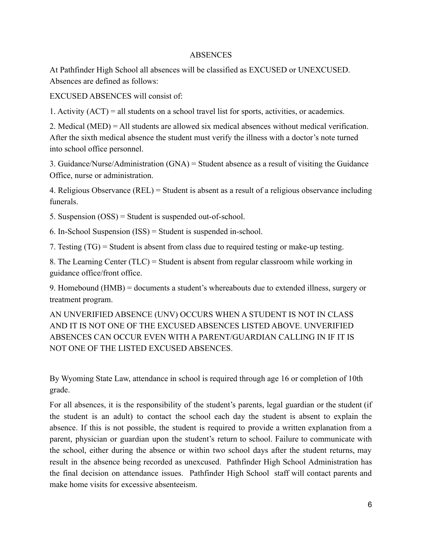# **ABSENCES**

At Pathfinder High School all absences will be classified as EXCUSED or UNEXCUSED. Absences are defined as follows:

EXCUSED ABSENCES will consist of:

1. Activity (ACT) = all students on a school travel list for sports, activities, or academics.

2. Medical (MED) = All students are allowed six medical absences without medical verification. After the sixth medical absence the student must verify the illness with a doctor's note turned into school office personnel.

3. Guidance/Nurse/Administration (GNA) = Student absence as a result of visiting the Guidance Office, nurse or administration.

4. Religious Observance (REL) = Student is absent as a result of a religious observance including funerals.

5. Suspension (OSS) = Student is suspended out-of-school.

6. In-School Suspension (ISS) = Student is suspended in-school.

7. Testing (TG) = Student is absent from class due to required testing or make-up testing.

8. The Learning Center (TLC) = Student is absent from regular classroom while working in guidance office/front office.

9. Homebound (HMB) = documents a student's whereabouts due to extended illness, surgery or treatment program.

AN UNVERIFIED ABSENCE (UNV) OCCURS WHEN A STUDENT IS NOT IN CLASS AND IT IS NOT ONE OF THE EXCUSED ABSENCES LISTED ABOVE. UNVERIFIED ABSENCES CAN OCCUR EVEN WITH A PARENT/GUARDIAN CALLING IN IF IT IS NOT ONE OF THE LISTED EXCUSED ABSENCES.

By Wyoming State Law, attendance in school is required through age 16 or completion of 10th grade.

For all absences, it is the responsibility of the student's parents, legal guardian or the student (if the student is an adult) to contact the school each day the student is absent to explain the absence. If this is not possible, the student is required to provide a written explanation from a parent, physician or guardian upon the student's return to school. Failure to communicate with the school, either during the absence or within two school days after the student returns, may result in the absence being recorded as unexcused. Pathfinder High School Administration has the final decision on attendance issues. Pathfinder High School staff will contact parents and make home visits for excessive absenteeism.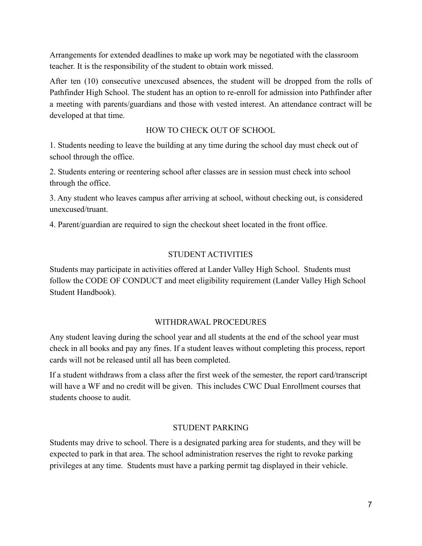Arrangements for extended deadlines to make up work may be negotiated with the classroom teacher. It is the responsibility of the student to obtain work missed.

After ten (10) consecutive unexcused absences, the student will be dropped from the rolls of Pathfinder High School. The student has an option to re-enroll for admission into Pathfinder after a meeting with parents/guardians and those with vested interest. An attendance contract will be developed at that time.

# HOW TO CHECK OUT OF SCHOOL

1. Students needing to leave the building at any time during the school day must check out of school through the office.

2. Students entering or reentering school after classes are in session must check into school through the office.

3. Any student who leaves campus after arriving at school, without checking out, is considered unexcused/truant.

4. Parent/guardian are required to sign the checkout sheet located in the front office.

# STUDENT ACTIVITIES

Students may participate in activities offered at Lander Valley High School. Students must follow the CODE OF CONDUCT and meet eligibility requirement (Lander Valley High School Student Handbook).

# WITHDRAWAL PROCEDURES

Any student leaving during the school year and all students at the end of the school year must check in all books and pay any fines. If a student leaves without completing this process, report cards will not be released until all has been completed.

If a student withdraws from a class after the first week of the semester, the report card/transcript will have a WF and no credit will be given. This includes CWC Dual Enrollment courses that students choose to audit.

# STUDENT PARKING

Students may drive to school. There is a designated parking area for students, and they will be expected to park in that area. The school administration reserves the right to revoke parking privileges at any time. Students must have a parking permit tag displayed in their vehicle.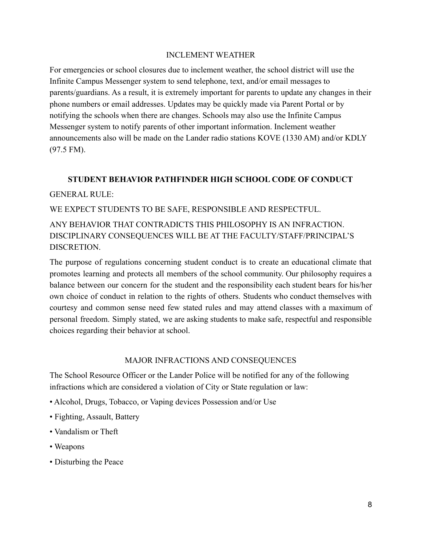### INCLEMENT WEATHER

For emergencies or school closures due to inclement weather, the school district will use the Infinite Campus Messenger system to send telephone, text, and/or email messages to parents/guardians. As a result, it is extremely important for parents to update any changes in their phone numbers or email addresses. Updates may be quickly made via Parent Portal or by notifying the schools when there are changes. Schools may also use the Infinite Campus Messenger system to notify parents of other important information. Inclement weather announcements also will be made on the Lander radio stations KOVE (1330 AM) and/or KDLY (97.5 FM).

# **STUDENT BEHAVIOR PATHFINDER HIGH SCHOOL CODE OF CONDUCT**

# GENERAL RULE:

WE EXPECT STUDENTS TO BE SAFE, RESPONSIBLE AND RESPECTFUL.

ANY BEHAVIOR THAT CONTRADICTS THIS PHILOSOPHY IS AN INFRACTION. DISCIPLINARY CONSEQUENCES WILL BE AT THE FACULTY/STAFF/PRINCIPAL'S DISCRETION.

The purpose of regulations concerning student conduct is to create an educational climate that promotes learning and protects all members of the school community. Our philosophy requires a balance between our concern for the student and the responsibility each student bears for his/her own choice of conduct in relation to the rights of others. Students who conduct themselves with courtesy and common sense need few stated rules and may attend classes with a maximum of personal freedom. Simply stated, we are asking students to make safe, respectful and responsible choices regarding their behavior at school.

# MAJOR INFRACTIONS AND CONSEQUENCES

The School Resource Officer or the Lander Police will be notified for any of the following infractions which are considered a violation of City or State regulation or law:

- Alcohol, Drugs, Tobacco, or Vaping devices Possession and/or Use
- Fighting, Assault, Battery
- Vandalism or Theft
- Weapons
- Disturbing the Peace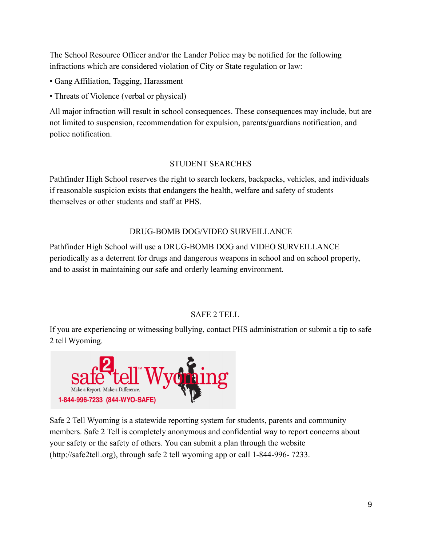The School Resource Officer and/or the Lander Police may be notified for the following infractions which are considered violation of City or State regulation or law:

- Gang Affiliation, Tagging, Harassment
- Threats of Violence (verbal or physical)

All major infraction will result in school consequences. These consequences may include, but are not limited to suspension, recommendation for expulsion, parents/guardians notification, and police notification.

# STUDENT SEARCHES

Pathfinder High School reserves the right to search lockers, backpacks, vehicles, and individuals if reasonable suspicion exists that endangers the health, welfare and safety of students themselves or other students and staff at PHS.

# DRUG-BOMB DOG/VIDEO SURVEILLANCE

Pathfinder High School will use a DRUG-BOMB DOG and VIDEO SURVEILLANCE periodically as a deterrent for drugs and dangerous weapons in school and on school property, and to assist in maintaining our safe and orderly learning environment.

# SAFE 2 TELL

If you are experiencing or witnessing bullying, contact PHS administration or submit a tip to safe 2 tell Wyoming.



Safe 2 Tell Wyoming is a statewide reporting system for students, parents and community members. Safe 2 Tell is completely anonymous and confidential way to report concerns about your safety or the safety of others. You can submit a plan through the website (http://safe2tell.org), through safe 2 tell wyoming app or call 1-844-996- 7233.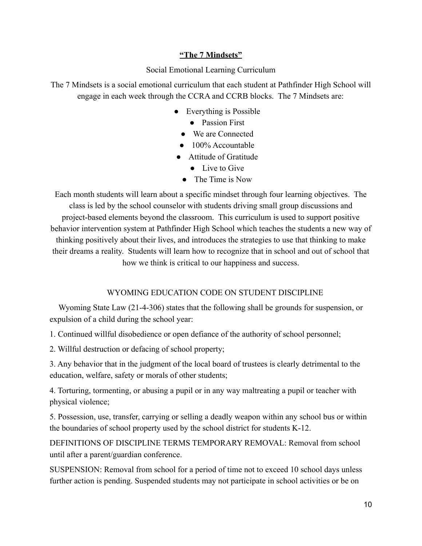# **"The 7 Mindsets"**

# Social Emotional Learning Curriculum

The 7 Mindsets is a social emotional curriculum that each student at Pathfinder High School will engage in each week through the CCRA and CCRB blocks. The 7 Mindsets are:

- Everything is Possible
	- Passion First
	- We are Connected
	- 100% Accountable
- Attitude of Gratitude
	- Live to Give
	- The Time is Now

Each month students will learn about a specific mindset through four learning objectives. The class is led by the school counselor with students driving small group discussions and project-based elements beyond the classroom. This curriculum is used to support positive behavior intervention system at Pathfinder High School which teaches the students a new way of thinking positively about their lives, and introduces the strategies to use that thinking to make their dreams a reality. Students will learn how to recognize that in school and out of school that how we think is critical to our happiness and success.

# WYOMING EDUCATION CODE ON STUDENT DISCIPLINE

Wyoming State Law (21-4-306) states that the following shall be grounds for suspension, or expulsion of a child during the school year:

1. Continued willful disobedience or open defiance of the authority of school personnel;

2. Willful destruction or defacing of school property;

3. Any behavior that in the judgment of the local board of trustees is clearly detrimental to the education, welfare, safety or morals of other students;

4. Torturing, tormenting, or abusing a pupil or in any way maltreating a pupil or teacher with physical violence;

5. Possession, use, transfer, carrying or selling a deadly weapon within any school bus or within the boundaries of school property used by the school district for students K-12.

DEFINITIONS OF DISCIPLINE TERMS TEMPORARY REMOVAL: Removal from school until after a parent/guardian conference.

SUSPENSION: Removal from school for a period of time not to exceed 10 school days unless further action is pending. Suspended students may not participate in school activities or be on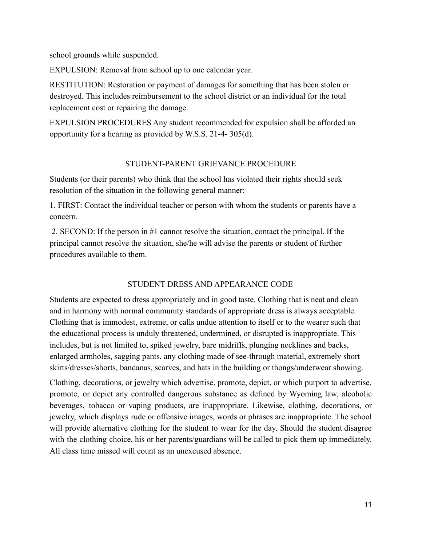school grounds while suspended.

EXPULSION: Removal from school up to one calendar year.

RESTITUTION: Restoration or payment of damages for something that has been stolen or destroyed. This includes reimbursement to the school district or an individual for the total replacement cost or repairing the damage.

EXPULSION PROCEDURES Any student recommended for expulsion shall be afforded an opportunity for a hearing as provided by W.S.S. 21-4- 305(d).

# STUDENT-PARENT GRIEVANCE PROCEDURE

Students (or their parents) who think that the school has violated their rights should seek resolution of the situation in the following general manner:

1. FIRST: Contact the individual teacher or person with whom the students or parents have a concern.

2. SECOND: If the person in #1 cannot resolve the situation, contact the principal. If the principal cannot resolve the situation, she/he will advise the parents or student of further procedures available to them.

# STUDENT DRESS AND APPEARANCE CODE

Students are expected to dress appropriately and in good taste. Clothing that is neat and clean and in harmony with normal community standards of appropriate dress is always acceptable. Clothing that is immodest, extreme, or calls undue attention to itself or to the wearer such that the educational process is unduly threatened, undermined, or disrupted is inappropriate. This includes, but is not limited to, spiked jewelry, bare midriffs, plunging necklines and backs, enlarged armholes, sagging pants, any clothing made of see-through material, extremely short skirts/dresses/shorts, bandanas, scarves, and hats in the building or thongs/underwear showing.

Clothing, decorations, or jewelry which advertise, promote, depict, or which purport to advertise, promote, or depict any controlled dangerous substance as defined by Wyoming law, alcoholic beverages, tobacco or vaping products, are inappropriate. Likewise, clothing, decorations, or jewelry, which displays rude or offensive images, words or phrases are inappropriate. The school will provide alternative clothing for the student to wear for the day. Should the student disagree with the clothing choice, his or her parents/guardians will be called to pick them up immediately. All class time missed will count as an unexcused absence.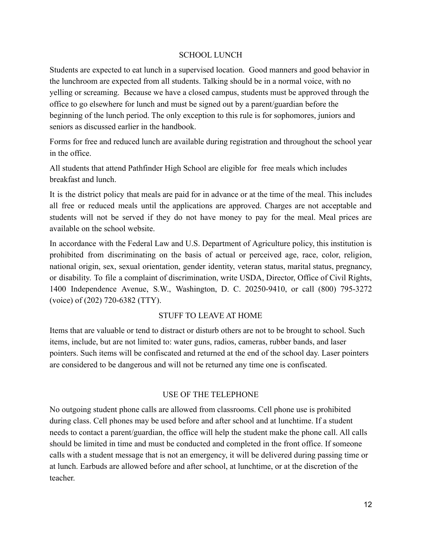# SCHOOL LUNCH

Students are expected to eat lunch in a supervised location. Good manners and good behavior in the lunchroom are expected from all students. Talking should be in a normal voice, with no yelling or screaming. Because we have a closed campus, students must be approved through the office to go elsewhere for lunch and must be signed out by a parent/guardian before the beginning of the lunch period. The only exception to this rule is for sophomores, juniors and seniors as discussed earlier in the handbook.

Forms for free and reduced lunch are available during registration and throughout the school year in the office.

All students that attend Pathfinder High School are eligible for free meals which includes breakfast and lunch.

It is the district policy that meals are paid for in advance or at the time of the meal. This includes all free or reduced meals until the applications are approved. Charges are not acceptable and students will not be served if they do not have money to pay for the meal. Meal prices are available on the school website.

In accordance with the Federal Law and U.S. Department of Agriculture policy, this institution is prohibited from discriminating on the basis of actual or perceived age, race, color, religion, national origin, sex, sexual orientation, gender identity, veteran status, marital status, pregnancy, or disability. To file a complaint of discrimination, write USDA, Director, Office of Civil Rights, 1400 Independence Avenue, S.W., Washington, D. C. 20250-9410, or call (800) 795-3272 (voice) of (202) 720-6382 (TTY).

# STUFF TO LEAVE AT HOME

Items that are valuable or tend to distract or disturb others are not to be brought to school. Such items, include, but are not limited to: water guns, radios, cameras, rubber bands, and laser pointers. Such items will be confiscated and returned at the end of the school day. Laser pointers are considered to be dangerous and will not be returned any time one is confiscated.

# USE OF THE TELEPHONE

No outgoing student phone calls are allowed from classrooms. Cell phone use is prohibited during class. Cell phones may be used before and after school and at lunchtime. If a student needs to contact a parent/guardian, the office will help the student make the phone call. All calls should be limited in time and must be conducted and completed in the front office. If someone calls with a student message that is not an emergency, it will be delivered during passing time or at lunch. Earbuds are allowed before and after school, at lunchtime, or at the discretion of the teacher.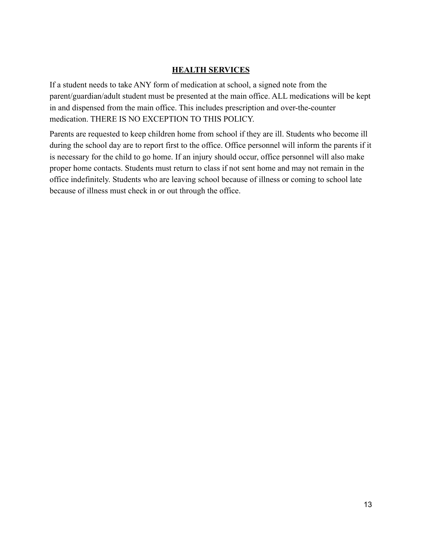# **HEALTH SERVICES**

If a student needs to take ANY form of medication at school, a signed note from the parent/guardian/adult student must be presented at the main office. ALL medications will be kept in and dispensed from the main office. This includes prescription and over-the-counter medication. THERE IS NO EXCEPTION TO THIS POLICY.

Parents are requested to keep children home from school if they are ill. Students who become ill during the school day are to report first to the office. Office personnel will inform the parents if it is necessary for the child to go home. If an injury should occur, office personnel will also make proper home contacts. Students must return to class if not sent home and may not remain in the office indefinitely. Students who are leaving school because of illness or coming to school late because of illness must check in or out through the office.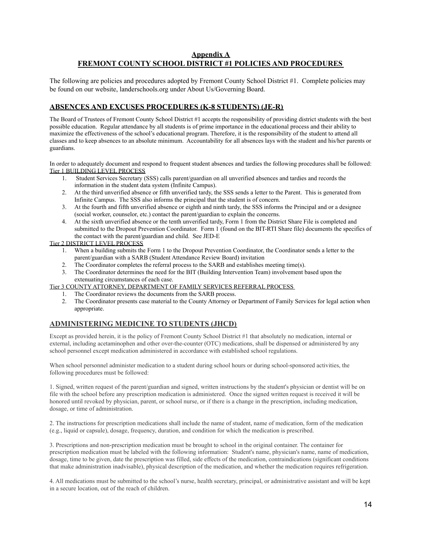### **Appendix A FREMONT COUNTY SCHOOL DISTRICT #1 POLICIES AND PROCEDURES**

The following are policies and procedures adopted by Fremont County School District #1. Complete policies may be found on our website, landerschools.org under About Us/Governing Board.

### **ABSENCES AND EXCUSES PROCEDURES (K-8 STUDENTS) (JE-R)**

The Board of Trustees of Fremont County School District #1 accepts the responsibility of providing district students with the best possible education. Regular attendance by all students is of prime importance in the educational process and their ability to maximize the effectiveness of the school's educational program. Therefore, it is the responsibility of the student to attend all classes and to keep absences to an absolute minimum. Accountability for all absences lays with the student and his/her parents or guardians.

In order to adequately document and respond to frequent student absences and tardies the following procedures shall be followed: Tier 1 BUILDING LEVEL PROCESS

- 1. Student Services Secretary (SSS) calls parent/guardian on all unverified absences and tardies and records the information in the student data system (Infinite Campus).
- 2. At the third unverified absence or fifth unverified tardy, the SSS sends a letter to the Parent. This is generated from Infinite Campus. The SSS also informs the principal that the student is of concern.
- 3. At the fourth and fifth unverified absence or eighth and ninth tardy, the SSS informs the Principal and or a designee (social worker, counselor, etc.) contact the parent/guardian to explain the concerns.
- 4. At the sixth unverified absence or the tenth unverified tardy, Form 1 from the District Share File is completed and submitted to the Dropout Prevention Coordinator. Form 1 (found on the BIT-RTI Share file) documents the specifics of the contact with the parent/guardian and child. See JED-E

Tier 2 DISTRICT LEVEL PROCESS

- 1. When a building submits the Form 1 to the Dropout Prevention Coordinator, the Coordinator sends a letter to the parent/guardian with a SARB (Student Attendance Review Board) invitation
- 2. The Coordinator completes the referral process to the SARB and establishes meeting time(s).
- 3. The Coordinator determines the need for the BIT (Building Intervention Team) involvement based upon the extenuating circumstances of each case.

Tier 3 COUNTY ATTORNEY, DEPARTMENT OF FAMILY SERVICES REFERRAL PROCESS

- 1. The Coordinator reviews the documents from the SARB process.
- 2. The Coordinator presents case material to the County Attorney or Department of Family Services for legal action when appropriate.

### **ADMINISTERING MEDICINE TO STUDENTS (JHCD)**

Except as provided herein, it is the policy of Fremont County School District #1 that absolutely no medication, internal or external, including acetaminophen and other over-the-counter (OTC) medications, shall be dispensed or administered by any school personnel except medication administered in accordance with established school regulations.

When school personnel administer medication to a student during school hours or during school-sponsored activities, the following procedures must be followed:

1. Signed, written request of the parent/guardian and signed, written instructions by the student's physician or dentist will be on file with the school before any prescription medication is administered. Once the signed written request is received it will be honored until revoked by physician, parent, or school nurse, or if there is a change in the prescription, including medication, dosage, or time of administration.

2. The instructions for prescription medications shall include the name of student, name of medication, form of the medication (e.g., liquid or capsule), dosage, frequency, duration, and condition for which the medication is prescribed.

3. Prescriptions and non-prescription medication must be brought to school in the original container. The container for prescription medication must be labeled with the following information: Student's name, physician's name, name of medication, dosage, time to be given, date the prescription was filled, side effects of the medication, contraindications (significant conditions that make administration inadvisable), physical description of the medication, and whether the medication requires refrigeration.

4. All medications must be submitted to the school's nurse, health secretary, principal, or administrative assistant and will be kept in a secure location, out of the reach of children.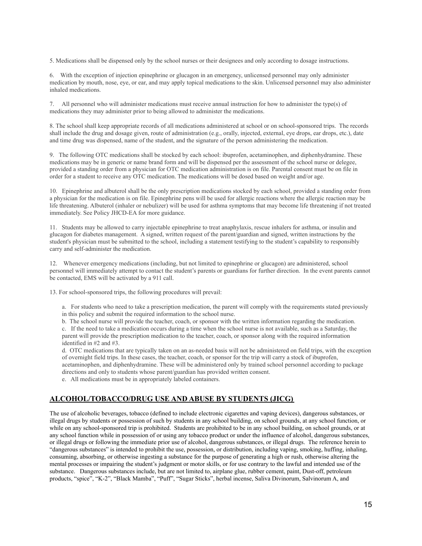5. Medications shall be dispensed only by the school nurses or their designees and only according to dosage instructions.

6. With the exception of injection epinephrine or glucagon in an emergency, unlicensed personnel may only administer medication by mouth, nose, eye, or ear, and may apply topical medications to the skin. Unlicensed personnel may also administer inhaled medications.

7. All personnel who will administer medications must receive annual instruction for how to administer the type(s) of medications they may administer prior to being allowed to administer the medications.

8. The school shall keep appropriate records of all medications administered at school or on school-sponsored trips. The records shall include the drug and dosage given, route of administration (e.g., orally, injected, external, eye drops, ear drops, etc.), date and time drug was dispensed, name of the student, and the signature of the person administering the medication.

9. The following OTC medications shall be stocked by each school: ibuprofen, acetaminophen, and diphenhydramine. These medications may be in generic or name brand form and will be dispensed per the assessment of the school nurse or delegee, provided a standing order from a physician for OTC medication administration is on file. Parental consent must be on file in order for a student to receive any OTC medication. The medications will be dosed based on weight and/or age.

10. Epinephrine and albuterol shall be the only prescription medications stocked by each school, provided a standing order from a physician for the medication is on file. Epinephrine pens will be used for allergic reactions where the allergic reaction may be life threatening. Albuterol (inhaler or nebulizer) will be used for asthma symptoms that may become life threatening if not treated immediately. See Policy JHCD-EA for more guidance.

11. Students may be allowed to carry injectable epinephrine to treat anaphylaxis, rescue inhalers for asthma, or insulin and glucagon for diabetes management. A signed, written request of the parent/guardian and signed, written instructions by the student's physician must be submitted to the school, including a statement testifying to the student's capability to responsibly carry and self-administer the medication.

12. Whenever emergency medications (including, but not limited to epinephrine or glucagon) are administered, school personnel will immediately attempt to contact the student's parents or guardians for further direction. In the event parents cannot be contacted, EMS will be activated by a 911 call.

13. For school-sponsored trips, the following procedures will prevail:

a. For students who need to take a prescription medication, the parent will comply with the requirements stated previously in this policy and submit the required information to the school nurse.

b. The school nurse will provide the teacher, coach, or sponsor with the written information regarding the medication. c. If the need to take a medication occurs during a time when the school nurse is not available, such as a Saturday, the parent will provide the prescription medication to the teacher, coach, or sponsor along with the required information identified in #2 and #3.

d. OTC medications that are typically taken on an as-needed basis will not be administered on field trips, with the exception of overnight field trips. In these cases, the teacher, coach, or sponsor for the trip will carry a stock of ibuprofen, acetaminophen, and diphenhydramine. These will be administered only by trained school personnel according to package directions and only to students whose parent/guardian has provided written consent.

e. All medications must be in appropriately labeled containers.

### **ALCOHOL/TOBACCO/DRUG USE AND ABUSE BY STUDENTS (JICG)**

The use of alcoholic beverages, tobacco (defined to include electronic cigarettes and vaping devices), dangerous substances, or illegal drugs by students or possession of such by students in any school building, on school grounds, at any school function, or while on any school-sponsored trip is prohibited. Students are prohibited to be in any school building, on school grounds, or at any school function while in possession of or using any tobacco product or under the influence of alcohol, dangerous substances, or illegal drugs or following the immediate prior use of alcohol, dangerous substances, or illegal drugs. The reference herein to "dangerous substances" is intended to prohibit the use, possession, or distribution, including vaping, smoking, huffing, inhaling, consuming, absorbing, or otherwise ingesting a substance for the purpose of generating a high or rush, otherwise altering the mental processes or impairing the student's judgment or motor skills, or for use contrary to the lawful and intended use of the substance. Dangerous substances include, but are not limited to, airplane glue, rubber cement, paint, Dust-off, petroleum products, "spice", "K-2", "Black Mamba", "Puff", "Sugar Sticks", herbal incense, Saliva Divinorum, Salvinorum A, and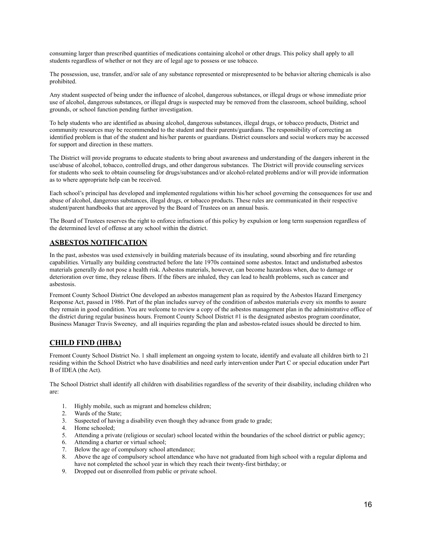consuming larger than prescribed quantities of medications containing alcohol or other drugs. This policy shall apply to all students regardless of whether or not they are of legal age to possess or use tobacco.

The possession, use, transfer, and/or sale of any substance represented or misrepresented to be behavior altering chemicals is also prohibited.

Any student suspected of being under the influence of alcohol, dangerous substances, or illegal drugs or whose immediate prior use of alcohol, dangerous substances, or illegal drugs is suspected may be removed from the classroom, school building, school grounds, or school function pending further investigation.

To help students who are identified as abusing alcohol, dangerous substances, illegal drugs, or tobacco products, District and community resources may be recommended to the student and their parents/guardians. The responsibility of correcting an identified problem is that of the student and his/her parents or guardians. District counselors and social workers may be accessed for support and direction in these matters.

The District will provide programs to educate students to bring about awareness and understanding of the dangers inherent in the use/abuse of alcohol, tobacco, controlled drugs, and other dangerous substances. The District will provide counseling services for students who seek to obtain counseling for drugs/substances and/or alcohol-related problems and/or will provide information as to where appropriate help can be received.

Each school's principal has developed and implemented regulations within his/her school governing the consequences for use and abuse of alcohol, dangerous substances, illegal drugs, or tobacco products. These rules are communicated in their respective student/parent handbooks that are approved by the Board of Trustees on an annual basis.

The Board of Trustees reserves the right to enforce infractions of this policy by expulsion or long term suspension regardless of the determined level of offense at any school within the district.

### **ASBESTOS NOTIFICATION**

In the past, asbestos was used extensively in building materials because of its insulating, sound absorbing and fire retarding capabilities. Virtually any building constructed before the late 1970s contained some asbestos. Intact and undisturbed asbestos materials generally do not pose a health risk. Asbestos materials, however, can become hazardous when, due to damage or deterioration over time, they release fibers. If the fibers are inhaled, they can lead to health problems, such as cancer and asbestosis.

Fremont County School District One developed an asbestos management plan as required by the Asbestos Hazard Emergency Response Act, passed in 1986. Part of the plan includes survey of the condition of asbestos materials every six months to assure they remain in good condition. You are welcome to review a copy of the asbestos management plan in the administrative office of the district during regular business hours. Fremont County School District #1 is the designated asbestos program coordinator, Business Manager Travis Sweeney, and all inquiries regarding the plan and asbestos-related issues should be directed to him.

### **CHILD FIND (IHBA)**

Fremont County School District No. 1 shall implement an ongoing system to locate, identify and evaluate all children birth to 21 residing within the School District who have disabilities and need early intervention under Part C or special education under Part B of IDEA (the Act).

The School District shall identify all children with disabilities regardless of the severity of their disability, including children who are:

- 1. Highly mobile, such as migrant and homeless children;
- 2. Wards of the State;
- 3. Suspected of having a disability even though they advance from grade to grade;
- 4. Home schooled;
- 5. Attending a private (religious or secular) school located within the boundaries of the school district or public agency;
- 6. Attending a charter or virtual school;
- 7. Below the age of compulsory school attendance;
- 8. Above the age of compulsory school attendance who have not graduated from high school with a regular diploma and have not completed the school year in which they reach their twenty-first birthday; or
- 9. Dropped out or disenrolled from public or private school.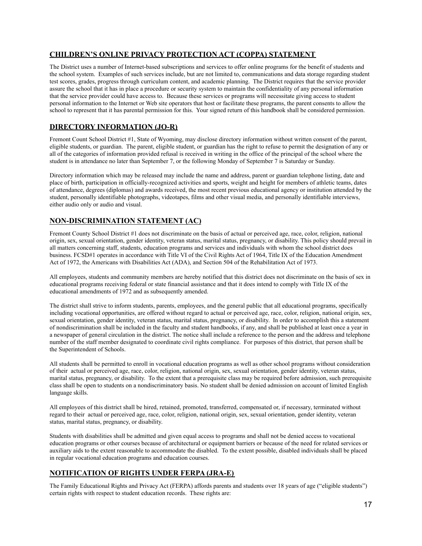### **CHILDREN'S ONLINE PRIVACY PROTECTION ACT (COPPA) STATEMENT**

The District uses a number of Internet-based subscriptions and services to offer online programs for the benefit of students and the school system. Examples of such services include, but are not limited to, communications and data storage regarding student test scores, grades, progress through curriculum content, and academic planning. The District requires that the service provider assure the school that it has in place a procedure or security system to maintain the confidentiality of any personal information that the service provider could have access to. Because these services or programs will necessitate giving access to student personal information to the Internet or Web site operators that host or facilitate these programs, the parent consents to allow the school to represent that it has parental permission for this. Your signed return of this handbook shall be considered permission.

### **DIRECTORY INFORMATION (JO-R)**

Fremont Count School District #1, State of Wyoming, may disclose directory information without written consent of the parent, eligible students, or guardian. The parent, eligible student, or guardian has the right to refuse to permit the designation of any or all of the categories of information provided refusal is received in writing in the office of the principal of the school where the student is in attendance no later than September 7, or the following Monday of September 7 is Saturday or Sunday.

Directory information which may be released may include the name and address, parent or guardian telephone listing, date and place of birth, participation in officially-recognized activities and sports, weight and height for members of athletic teams, dates of attendance, degrees (diplomas) and awards received, the most recent previous educational agency or institution attended by the student, personally identifiable photographs, videotapes, films and other visual media, and personally identifiable interviews, either audio only or audio and visual.

### **NON-DISCRIMINATION STATEMENT (AC)**

Fremont County School District #1 does not discriminate on the basis of actual or perceived age, race, color, religion, national origin, sex, sexual orientation, gender identity, veteran status, marital status, pregnancy, or disability. This policy should prevail in all matters concerning staff, students, education programs and services and individuals with whom the school district does business. FCSD#1 operates in accordance with Title VI of the Civil Rights Act of 1964, Title IX of the Education Amendment Act of 1972, the Americans with Disabilities Act (ADA), and Section 504 of the Rehabilitation Act of 1973.

All employees, students and community members are hereby notified that this district does not discriminate on the basis of sex in educational programs receiving federal or state financial assistance and that it does intend to comply with Title IX of the educational amendments of 1972 and as subsequently amended.

The district shall strive to inform students, parents, employees, and the general public that all educational programs, specifically including vocational opportunities, are offered without regard to actual or perceived age, race, color, religion, national origin, sex, sexual orientation, gender identity, veteran status, marital status, pregnancy, or disability. In order to accomplish this a statement of nondiscrimination shall be included in the faculty and student handbooks, if any, and shall be published at least once a year in a newspaper of general circulation in the district. The notice shall include a reference to the person and the address and telephone number of the staff member designated to coordinate civil rights compliance. For purposes of this district, that person shall be the Superintendent of Schools.

All students shall be permitted to enroll in vocational education programs as well as other school programs without consideration of their actual or perceived age, race, color, religion, national origin, sex, sexual orientation, gender identity, veteran status, marital status, pregnancy, or disability. To the extent that a prerequisite class may be required before admission, such prerequisite class shall be open to students on a nondiscriminatory basis. No student shall be denied admission on account of limited English language skills.

All employees of this district shall be hired, retained, promoted, transferred, compensated or, if necessary, terminated without regard to their actual or perceived age, race, color, religion, national origin, sex, sexual orientation, gender identity, veteran status, marital status, pregnancy, or disability.

Students with disabilities shall be admitted and given equal access to programs and shall not be denied access to vocational education programs or other courses because of architectural or equipment barriers or because of the need for related services or auxiliary aids to the extent reasonable to accommodate the disabled. To the extent possible, disabled individuals shall be placed in regular vocational education programs and education courses.

# **NOTIFICATION OF RIGHTS UNDER FERPA (JRA-E)**

The Family Educational Rights and Privacy Act (FERPA) affords parents and students over 18 years of age ("eligible students") certain rights with respect to student education records. These rights are: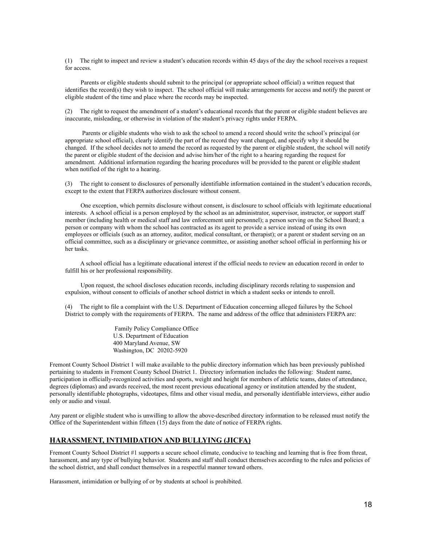(1) The right to inspect and review a student's education records within 45 days of the day the school receives a request for access.

 Parents or eligible students should submit to the principal (or appropriate school official) a written request that identifies the record(s) they wish to inspect. The school official will make arrangements for access and notify the parent or eligible student of the time and place where the records may be inspected.

(2) The right to request the amendment of a student's educational records that the parent or eligible student believes are inaccurate, misleading, or otherwise in violation of the student's privacy rights under FERPA.

Parents or eligible students who wish to ask the school to amend a record should write the school's principal (or appropriate school official), clearly identify the part of the record they want changed, and specify why it should be changed. If the school decides not to amend the record as requested by the parent or eligible student, the school will notify the parent or eligible student of the decision and advise him/her of the right to a hearing regarding the request for amendment. Additional information regarding the hearing procedures will be provided to the parent or eligible student when notified of the right to a hearing.

(3) The right to consent to disclosures of personally identifiable information contained in the student's education records, except to the extent that FERPA authorizes disclosure without consent.

 One exception, which permits disclosure without consent, is disclosure to school officials with legitimate educational interests. A school official is a person employed by the school as an administrator, supervisor, instructor, or support staff member (including health or medical staff and law enforcement unit personnel); a person serving on the School Board; a person or company with whom the school has contracted as its agent to provide a service instead of using its own employees or officials (such as an attorney, auditor, medical consultant, or therapist); or a parent or student serving on an official committee, such as a disciplinary or grievance committee, or assisting another school official in performing his or her tasks.

A school official has a legitimate educational interest if the official needs to review an education record in order to fulfill his or her professional responsibility.

 Upon request, the school discloses education records, including disciplinary records relating to suspension and expulsion, without consent to officials of another school district in which a student seeks or intends to enroll.

(4) The right to file a complaint with the U.S. Department of Education concerning alleged failures by the School District to comply with the requirements of FERPA. The name and address of the office that administers FERPA are:

> Family Policy Compliance Office U.S. Department of Education 400 Maryland Avenue, SW Washington, DC 20202-5920

Fremont County School District 1 will make available to the public directory information which has been previously published pertaining to students in Fremont County School District 1. Directory information includes the following: Student name, participation in officially-recognized activities and sports, weight and height for members of athletic teams, dates of attendance, degrees (diplomas) and awards received, the most recent previous educational agency or institution attended by the student, personally identifiable photographs, videotapes, films and other visual media, and personally identifiable interviews, either audio only or audio and visual.

Any parent or eligible student who is unwilling to allow the above-described directory information to be released must notify the Office of the Superintendent within fifteen (15) days from the date of notice of FERPA rights.

### **HARASSMENT, INTIMIDATION AND BULLYING (JICFA)**

Fremont County School District #1 supports a secure school climate, conducive to teaching and learning that is free from threat, harassment, and any type of bullying behavior. Students and staff shall conduct themselves according to the rules and policies of the school district, and shall conduct themselves in a respectful manner toward others.

Harassment, intimidation or bullying of or by students at school is prohibited.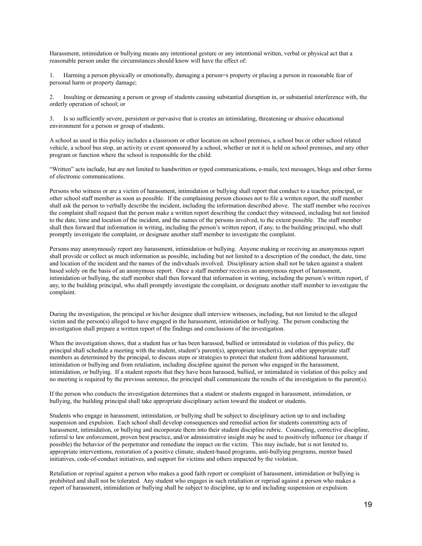Harassment, intimidation or bullying means any intentional gesture or any intentional written, verbal or physical act that a reasonable person under the circumstances should know will have the effect of:

1. Harming a person physically or emotionally, damaging a person=s property or placing a person in reasonable fear of personal harm or property damage;

2. Insulting or demeaning a person or group of students causing substantial disruption in, or substantial interference with, the orderly operation of school; or

3. Is so sufficiently severe, persistent or pervasive that is creates an intimidating, threatening or abusive educational environment for a person or group of students.

A school as used in this policy includes a classroom or other location on school premises, a school bus or other school related vehicle, a school bus stop, an activity or event sponsored by a school, whether or not it is held on school premises, and any other program or function where the school is responsible for the child.

"Written" acts include, but are not limited to handwritten or typed communications, e-mails, text messages, blogs and other forms of electronic communications.

Persons who witness or are a victim of harassment, intimidation or bullying shall report that conduct to a teacher, principal, or other school staff member as soon as possible. If the complaining person chooses not to file a written report, the staff member shall ask the person to verbally describe the incident, including the information described above. The staff member who receives the complaint shall request that the person make a written report describing the conduct they witnessed, including but not limited to the date, time and location of the incident, and the names of the persons involved, to the extent possible. The staff member shall then forward that information in writing, including the person's written report, if any, to the building principal, who shall promptly investigate the complaint, or designate another staff member to investigate the complaint.

Persons may anonymously report any harassment, intimidation or bullying. Anyone making or receiving an anonymous report shall provide or collect as much information as possible, including but not limited to a description of the conduct, the date, time and location of the incident and the names of the individuals involved. Disciplinary action shall not be taken against a student based solely on the basis of an anonymous report. Once a staff member receives an anonymous report of harassment, intimidation or bullying, the staff member shall then forward that information in writing, including the person's written report, if any, to the building principal, who shall promptly investigate the complaint, or designate another staff member to investigate the complaint.

During the investigation, the principal or his/her designee shall interview witnesses, including, but not limited to the alleged victim and the person(s) alleged to have engaged in the harassment, intimidation or bullying. The person conducting the investigation shall prepare a written report of the findings and conclusions of the investigation.

When the investigation shows, that a student has or has been harassed, bullied or intimidated in violation of this policy, the principal shall schedule a meeting with the student, student's parent(s), appropriate teacher(s), and other appropriate staff members as determined by the principal, to discuss steps or strategies to protect that student from additional harassment, intimidation or bullying and from retaliation, including discipline against the person who engaged in the harassment, intimidation, or bullying. If a student reports that they have been harassed, bullied, or intimidated in violation of this policy and no meeting is required by the previous sentence, the principal shall communicate the results of the investigation to the parent(s).

If the person who conducts the investigation determines that a student or students engaged in harassment, intimidation, or bullying, the building principal shall take appropriate disciplinary action toward the student or students.

Students who engage in harassment, intimidation, or bullying shall be subject to disciplinary action up to and including suspension and expulsion. Each school shall develop consequences and remedial action for students committing acts of harassment, intimidation, or bullying and incorporate them into their student discipline rubric. Counseling, corrective discipline, referral to law enforcement, proven best practice, and/or administrative insight may be used to positively influence (or change if possible) the behavior of the perpetrator and remediate the impact on the victim. This may include, but is not limited to, appropriate interventions, restoration of a positive climate, student-based programs, anti-bullying programs, mentor based initiatives, code-of-conduct initiatives, and support for victims and others impacted by the violation.

Retaliation or reprisal against a person who makes a good faith report or complaint of harassment, intimidation or bullying is prohibited and shall not be tolerated. Any student who engages in such retaliation or reprisal against a person who makes a report of harassment, intimidation or bullying shall be subject to discipline, up to and including suspension or expulsion.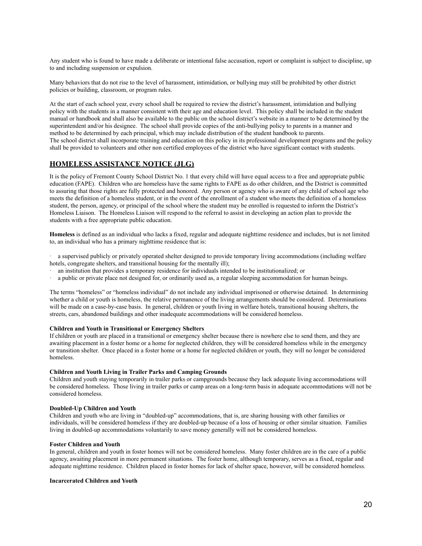Any student who is found to have made a deliberate or intentional false accusation, report or complaint is subject to discipline, up to and including suspension or expulsion.

Many behaviors that do not rise to the level of harassment, intimidation, or bullying may still be prohibited by other district policies or building, classroom, or program rules.

At the start of each school year, every school shall be required to review the district's harassment, intimidation and bullying policy with the students in a manner consistent with their age and education level. This policy shall be included in the student manual or handbook and shall also be available to the public on the school district's website in a manner to be determined by the superintendent and/or his designee. The school shall provide copies of the anti-bullying policy to parents in a manner and method to be determined by each principal, which may include distribution of the student handbook to parents. The school district shall incorporate training and education on this policy in its professional development programs and the policy shall be provided to volunteers and other non certified employees of the district who have significant contact with students.

#### **HOMELESS ASSISTANCE NOTICE (JLG)**

It is the policy of Fremont County School District No. 1 that every child will have equal access to a free and appropriate public education (FAPE). Children who are homeless have the same rights to FAPE as do other children, and the District is committed to assuring that those rights are fully protected and honored. Any person or agency who is aware of any child of school age who meets the definition of a homeless student, or in the event of the enrollment of a student who meets the definition of a homeless student, the person, agency, or principal of the school where the student may be enrolled is requested to inform the District's Homeless Liaison. The Homeless Liaison will respond to the referral to assist in developing an action plan to provide the students with a free appropriate public education.

**Homeless** is defined as an individual who lacks a fixed, regular and adequate nighttime residence and includes, but is not limited to, an individual who has a primary nighttime residence that is:

· a supervised publicly or privately operated shelter designed to provide temporary living accommodations (including welfare hotels, congregate shelters, and transitional housing for the mentally ill);

- · an institution that provides a temporary residence for individuals intended to be institutionalized; or
- · a public or private place not designed for, or ordinarily used as, a regular sleeping accommodation for human beings.

The terms "homeless" or "homeless individual" do not include any individual imprisoned or otherwise detained. In determining whether a child or youth is homeless, the relative permanence of the living arrangements should be considered. Determinations will be made on a case-by-case basis. In general, children or youth living in welfare hotels, transitional housing shelters, the streets, cars, abandoned buildings and other inadequate accommodations will be considered homeless.

#### **Children and Youth in Transitional or Emergency Shelters**

If children or youth are placed in a transitional or emergency shelter because there is nowhere else to send them, and they are awaiting placement in a foster home or a home for neglected children, they will be considered homeless while in the emergency or transition shelter. Once placed in a foster home or a home for neglected children or youth, they will no longer be considered homeless.

#### **Children and Youth Living in Trailer Parks and Camping Grounds**

Children and youth staying temporarily in trailer parks or campgrounds because they lack adequate living accommodations will be considered homeless. Those living in trailer parks or camp areas on a long-term basis in adequate accommodations will not be considered homeless.

#### **Doubled-Up Children and Youth**

Children and youth who are living in "doubled-up" accommodations, that is, are sharing housing with other families or individuals, will be considered homeless if they are doubled-up because of a loss of housing or other similar situation. Families living in doubled-up accommodations voluntarily to save money generally will not be considered homeless.

#### **Foster Children and Youth**

In general, children and youth in foster homes will not be considered homeless. Many foster children are in the care of a public agency, awaiting placement in more permanent situations. The foster home, although temporary, serves as a fixed, regular and adequate nighttime residence. Children placed in foster homes for lack of shelter space, however, will be considered homeless.

#### **Incarcerated Children and Youth**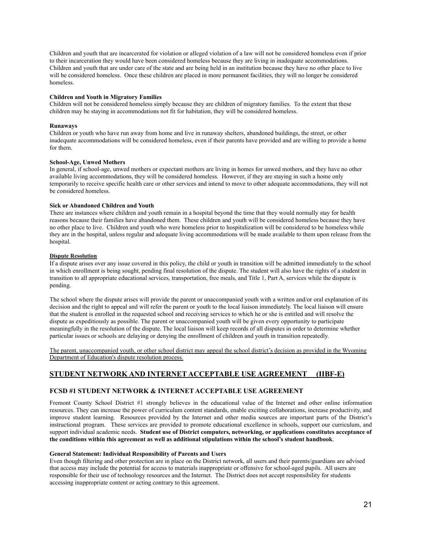Children and youth that are incarcerated for violation or alleged violation of a law will not be considered homeless even if prior to their incarceration they would have been considered homeless because they are living in inadequate accommodations. Children and youth that are under care of the state and are being held in an institution because they have no other place to live will be considered homeless. Once these children are placed in more permanent facilities, they will no longer be considered homeless.

#### **Children and Youth in Migratory Families**

Children will not be considered homeless simply because they are children of migratory families. To the extent that these children may be staying in accommodations not fit for habitation, they will be considered homeless.

#### **Runaways**

Children or youth who have run away from home and live in runaway shelters, abandoned buildings, the street, or other inadequate accommodations will be considered homeless, even if their parents have provided and are willing to provide a home for them.

#### **School-Age, Unwed Mothers**

In general, if school-age, unwed mothers or expectant mothers are living in homes for unwed mothers, and they have no other available living accommodations, they will be considered homeless. However, if they are staying in such a home only temporarily to receive specific health care or other services and intend to move to other adequate accommodations, they will not be considered homeless.

#### **Sick or Abandoned Children and Youth**

There are instances where children and youth remain in a hospital beyond the time that they would normally stay for health reasons because their families have abandoned them. These children and youth will be considered homeless because they have no other place to live. Children and youth who were homeless prior to hospitalization will be considered to be homeless while they are in the hospital, unless regular and adequate living accommodations will be made available to them upon release from the hospital.

#### **Dispute Resolution**

If a dispute arises over any issue covered in this policy, the child or youth in transition will be admitted immediately to the school in which enrollment is being sought, pending final resolution of the dispute. The student will also have the rights of a student in transition to all appropriate educational services, transportation, free meals, and Title 1, Part A, services while the dispute is pending.

The school where the dispute arises will provide the parent or unaccompanied youth with a written and/or oral explanation of its decision and the right to appeal and will refer the parent or youth to the local liaison immediately. The local liaison will ensure that the student is enrolled in the requested school and receiving services to which he or she is entitled and will resolve the dispute as expeditiously as possible. The parent or unaccompanied youth will be given every opportunity to participate meaningfully in the resolution of the dispute. The local liaison will keep records of all disputes in order to determine whether particular issues or schools are delaying or denying the enrollment of children and youth in transition repeatedly.

The parent, unaccompanied youth, or other school district may appeal the school district's decision as provided in the Wyoming Department of Education's dispute resolution process.

### **STUDENT NETWORK AND INTERNET ACCEPTABLE USE AGREEMENT (IIBF-E)**

#### **FCSD #1 STUDENT NETWORK & INTERNET ACCEPTABLE USE AGREEMENT**

Fremont County School District #1 strongly believes in the educational value of the Internet and other online information resources. They can increase the power of curriculum content standards, enable exciting collaborations, increase productivity, and improve student learning. Resources provided by the Internet and other media sources are important parts of the District's instructional program. These services are provided to promote educational excellence in schools, support our curriculum, and support individual academic needs. **Student use of District computers, networking, or applications constitutes acceptance of the conditions within this agreement as well as additional stipulations within the school's student handbook**.

#### **General Statement: Individual Responsibility of Parents and Users**

Even though filtering and other protection are in place on the District network, all users and their parents/guardians are advised that access may include the potential for access to materials inappropriate or offensive for school-aged pupils. All users are responsible for their use of technology resources and the Internet. The District does not accept responsibility for students accessing inappropriate content or acting contrary to this agreement.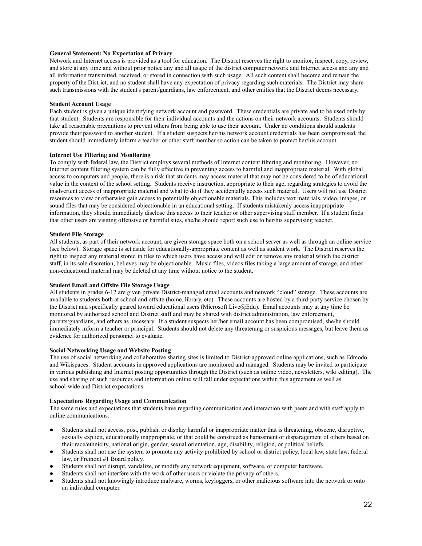#### **General Statement: No Expectation of Privacy**

Network and Internet access is provided as a tool for education. The District reserves the right to monitor, inspect, copy, review, and store at any time and without prior notice any and all usage of the district computer network and Internet access and any and all information transmitted, received, or stored in connection with such usage. All such content shall become and remain the property of the District, and no student shall have any expectation of privacy regarding such materials. The District may share such transmissions with the student's parent/guardians, law enforcement, and other entities that the District deems necessary.

#### **Student Account Usage**

Each student is given a unique identifying network account and password. These credentials are private and to be used only by that student. Students are responsible for their individual accounts and the actions on their network accounts. Students should take all reasonable precautions to prevent others from being able to use their account. Under no conditions should students provide their password to another student. If a student suspects her/his network account credentials has been compromised, the student should immediately inform a teacher or other staff member so action can be taken to protect her/his account.

#### **Internet Use Filtering and Monitoring**

To comply with federal law, the District employs several methods of Internet content filtering and monitoring. However, no Internet content filtering system can be fully effective in preventing access to harmful and inappropriate material. With global access to computers and people, there is a risk that students may access material that may not be considered to be of educational value in the context of the school setting. Students receive instruction, appropriate to their age, regarding strategies to avoid the inadvertent access of inappropriate material and what to do if they accidentally access such material. Users will not use District resources to view or otherwise gain access to potentially objectionable materials. This includes text materials, video, images, or sound files that may be considered objectionable in an educational setting. If students mistakenly access inappropriate information, they should immediately disclose this access to their teacher or other supervising staff member. If a student finds that other users are visiting offensive or harmful sites, she/he should report such use to her/his supervising teacher.

#### **Student File Storage**

All students, as part of their network account, are given storage space both on a school server as well as through an online service (see below). Storage space is set aside for educationally-appropriate content as well as student work. The District reserves the right to inspect any material stored in files to which users have access and will edit or remove any material which the district staff, in its sole discretion, believes may be objectionable. Music files, videos files taking a large amount of storage, and other non-educational material may be deleted at any time without notice to the student.

#### **Student Email and Offsite File Storage Usage**

All students in grades 6-12 are given private District-managed email accounts and network "cloud" storage. These accounts are available to students both at school and offsite (home, library, etc). These accounts are hosted by a third-party service chosen by the District and specifically geared toward educational users (Microsoft Live@Edu). Email accounts may at any time be monitored by authorized school and District staff and may be shared with district administration, law enforcement, parents/guardians, and others as necessary. If a student suspects her/her email account has been compromised, she/he should immediately inform a teacher or principal. Students should not delete any threatening or suspicious messages, but leave them as evidence for authorized personnel to evaluate.

#### **Social Networking Usage and Website Posting**

The use of social networking and collaborative sharing sites is limited to District-approved online applications, such as Edmodo and Wikispaces. Student accounts in approved applications are monitored and managed. Students may be invited to participate in various publishing and Internet posting opportunities through the District (such as online video, newsletters, wiki editing). The use and sharing of such resources and information online will fall under expectations within this agreement as well as school-wide and District expectations.

#### **Expectations Regarding Usage and Communication**

The same rules and expectations that students have regarding communication and interaction with peers and with staff apply to online communications.

- Students shall not access, post, publish, or display harmful or inappropriate matter that is threatening, obscene, disruptive, sexually explicit, educationally inappropriate, or that could be construed as harassment or disparagement of others based on their race/ethnicity, national origin, gender, sexual orientation, age, disability, religion, or political beliefs.
- Students shall not use the system to promote any activity prohibited by school or district policy, local law, state law, federal law, or Fremont #1 Board policy.
- Students shall not disrupt, vandalize, or modify any network equipment, software, or computer hardware.
- Students shall not interfere with the work of other users or violate the privacy of others.
- Students shall not knowingly introduce malware, worms, keyloggers, or other malicious software into the network or onto an individual computer.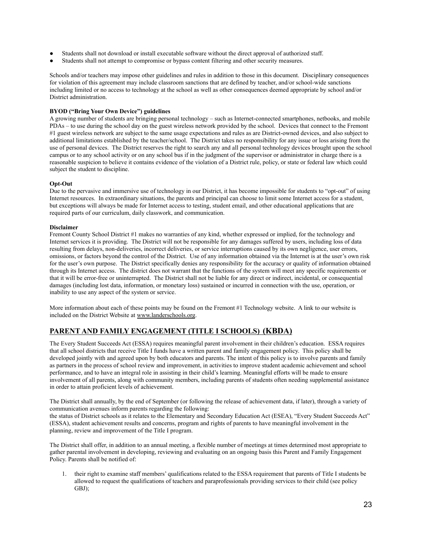- Students shall not download or install executable software without the direct approval of authorized staff.
- Students shall not attempt to compromise or bypass content filtering and other security measures.

Schools and/or teachers may impose other guidelines and rules in addition to those in this document. Disciplinary consequences for violation of this agreement may include classroom sanctions that are defined by teacher, and/or school-wide sanctions including limited or no access to technology at the school as well as other consequences deemed appropriate by school and/or District administration.

#### **BYOD ("Bring Your Own Device") guidelines**

A growing number of students are bringing personal technology – such as Internet-connected smartphones, netbooks, and mobile PDAs – to use during the school day on the guest wireless network provided by the school. Devices that connect to the Fremont #1 guest wireless network are subject to the same usage expectations and rules as are District-owned devices, and also subject to additional limitations established by the teacher/school. The District takes no responsibility for any issue or loss arising from the use of personal devices. The District reserves the right to search any and all personal technology devices brought upon the school campus or to any school activity or on any school bus if in the judgment of the supervisor or administrator in charge there is a reasonable suspicion to believe it contains evidence of the violation of a District rule, policy, or state or federal law which could subject the student to discipline.

#### **Opt-Out**

Due to the pervasive and immersive use of technology in our District, it has become impossible for students to "opt-out" of using Internet resources. In extraordinary situations, the parents and principal can choose to limit some Internet access for a student, but exceptions will always be made for Internet access to testing, student email, and other educational applications that are required parts of our curriculum, daily classwork, and communication.

#### **Disclaimer**

Fremont County School District #1 makes no warranties of any kind, whether expressed or implied, for the technology and Internet services it is providing. The District will not be responsible for any damages suffered by users, including loss of data resulting from delays, non-deliveries, incorrect deliveries, or service interruptions caused by its own negligence, user errors, omissions, or factors beyond the control of the District. Use of any information obtained via the Internet is at the user's own risk for the user's own purpose. The District specifically denies any responsibility for the accuracy or quality of information obtained through its Internet access. The district does not warrant that the functions of the system will meet any specific requirements or that it will be error-free or uninterrupted. The District shall not be liable for any direct or indirect, incidental, or consequential damages (including lost data, information, or monetary loss) sustained or incurred in connection with the use, operation, or inability to use any aspect of the system or service.

More information about each of these points may be found on the Fremont #1 Technology website. A link to our website is included on the District Website at [www.landerschools.org](http://www.landerschools.org).

### **PARENT AND FAMILY ENGAGEMENT (TITLE I SCHOOLS) (KBDA)**

The Every Student Succeeds Act (ESSA) requires meaningful parent involvement in their children's education. ESSA requires that all school districts that receive Title I funds have a written parent and family engagement policy. This policy shall be developed jointly with and agreed upon by both educators and parents. The intent of this policy is to involve parents and family as partners in the process of school review and improvement, in activities to improve student academic achievement and school performance, and to have an integral role in assisting in their child's learning. Meaningful efforts will be made to ensure involvement of all parents, along with community members, including parents of students often needing supplemental assistance in order to attain proficient levels of achievement.

The District shall annually, by the end of September (or following the release of achievement data, if later), through a variety of communication avenues inform parents regarding the following:

the status of District schools as it relates to the Elementary and Secondary Education Act (ESEA), "Every Student Succeeds Act" (ESSA), student achievement results and concerns, program and rights of parents to have meaningful involvement in the planning, review and improvement of the Title I program.

The District shall offer, in addition to an annual meeting, a flexible number of meetings at times determined most appropriate to gather parental involvement in developing, reviewing and evaluating on an ongoing basis this Parent and Family Engagement Policy. Parents shall be notified of:

1. their right to examine staff members' qualifications related to the ESSA requirement that parents of Title I students be allowed to request the qualifications of teachers and paraprofessionals providing services to their child (see policy GBJ);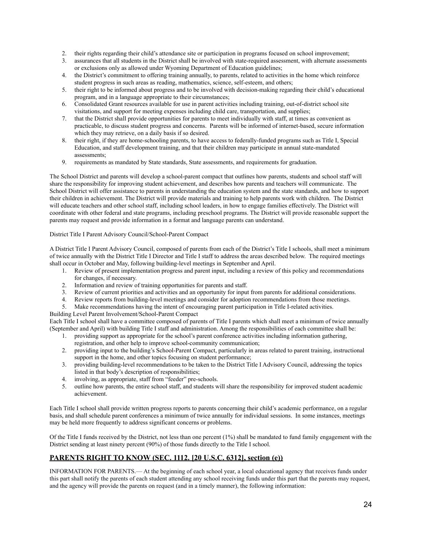- 2. their rights regarding their child's attendance site or participation in programs focused on school improvement;
- 3. assurances that all students in the District shall be involved with state-required assessment, with alternate assessments or exclusions only as allowed under Wyoming Department of Education guidelines;
- 4. the District's commitment to offering training annually, to parents, related to activities in the home which reinforce student progress in such areas as reading, mathematics, science, self-esteem, and others;
- 5. their right to be informed about progress and to be involved with decision-making regarding their child's educational program, and in a language appropriate to their circumstances;
- 6. Consolidated Grant resources available for use in parent activities including training, out-of-district school site visitations, and support for meeting expenses including child care, transportation, and supplies;
- 7. that the District shall provide opportunities for parents to meet individually with staff, at times as convenient as practicable, to discuss student progress and concerns. Parents will be informed of internet-based, secure information which they may retrieve, on a daily basis if so desired.
- 8. their right, if they are home-schooling parents, to have access to federally-funded programs such as Title I, Special Education, and staff development training, and that their children may participate in annual state-mandated assessments;
- 9. requirements as mandated by State standards, State assessments, and requirements for graduation.

The School District and parents will develop a school-parent compact that outlines how parents, students and school staff will share the responsibility for improving student achievement, and describes how parents and teachers will communicate. The School District will offer assistance to parents in understanding the education system and the state standards, and how to support their children in achievement. The District will provide materials and training to help parents work with children. The District will educate teachers and other school staff, including school leaders, in how to engage families effectively. The District will coordinate with other federal and state programs, including preschool programs. The District will provide reasonable support the parents may request and provide information in a format and language parents can understand.

#### District Title I Parent Advisory Council/School-Parent Compact

A District Title I Parent Advisory Council, composed of parents from each of the District's Title I schools, shall meet a minimum of twice annually with the District Title I Director and Title I staff to address the areas described below. The required meetings shall occur in October and May, following building-level meetings in September and April.

- 1. Review of present implementation progress and parent input, including a review of this policy and recommendations for changes, if necessary.
- 2. Information and review of training opportunities for parents and staff.
- 3. Review of current priorities and activities and an opportunity for input from parents for additional considerations.
- 4. Review reports from building-level meetings and consider for adoption recommendations from those meetings.
- 5. Make recommendations having the intent of encouraging parent participation in Title I-related activities.

Building Level Parent Involvement/School-Parent Compact

Each Title I school shall have a committee composed of parents of Title I parents which shall meet a minimum of twice annually (September and April) with building Title I staff and administration. Among the responsibilities of each committee shall be:

- 1. providing support as appropriate for the school's parent conference activities including information gathering, registration, and other help to improve school-community communication;
- 2. providing input to the building's School-Parent Compact, particularly in areas related to parent training, instructional support in the home, and other topics focusing on student performance;
- 3. providing building-level recommendations to be taken to the District Title I Advisory Council, addressing the topics listed in that body's description of responsibilities;
- 4. involving, as appropriate, staff from "feeder" pre-schools.
- 5. outline how parents, the entire school staff, and students will share the responsibility for improved student academic achievement.

Each Title I school shall provide written progress reports to parents concerning their child's academic performance, on a regular basis, and shall schedule parent conferences a minimum of twice annually for individual sessions. In some instances, meetings may be held more frequently to address significant concerns or problems.

Of the Title I funds received by the District, not less than one percent (1%) shall be mandated to fund family engagement with the District sending at least ninety percent (90%) of those funds directly to the Title I school.

# **PARENTS RIGHT TO KNOW (SEC. 1112. [20 U.S.C. 6312], section (e))**

INFORMATION FOR PARENTS.— At the beginning of each school year, a local educational agency that receives funds under this part shall notify the parents of each student attending any school receiving funds under this part that the parents may request, and the agency will provide the parents on request (and in a timely manner), the following information: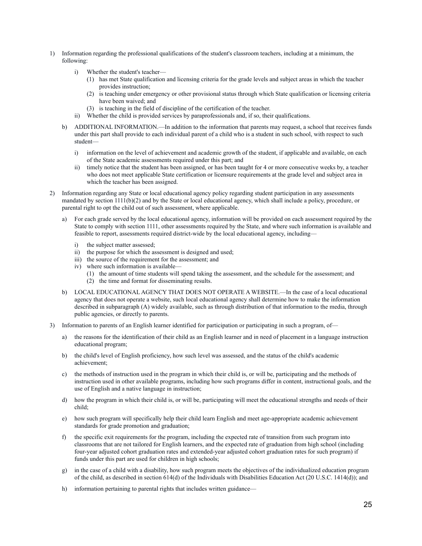- 1) Information regarding the professional qualifications of the student's classroom teachers, including at a minimum, the following:
	- i) Whether the student's teacher—
		- (1) has met State qualification and licensing criteria for the grade levels and subject areas in which the teacher provides instruction;
		- (2) is teaching under emergency or other provisional status through which State qualification or licensing criteria have been waived; and
		- (3) is teaching in the field of discipline of the certification of the teacher.
	- ii) Whether the child is provided services by paraprofessionals and, if so, their qualifications.
	- b) ADDITIONAL INFORMATION.—In addition to the information that parents may request, a school that receives funds under this part shall provide to each individual parent of a child who is a student in such school, with respect to such student
		- i) information on the level of achievement and academic growth of the student, if applicable and available, on each of the State academic assessments required under this part; and
		- ii) timely notice that the student has been assigned, or has been taught for 4 or more consecutive weeks by, a teacher who does not meet applicable State certification or licensure requirements at the grade level and subject area in which the teacher has been assigned.
- 2) Information regarding any State or local educational agency policy regarding student participation in any assessments mandated by section 1111(b)(2) and by the State or local educational agency, which shall include a policy, procedure, or parental right to opt the child out of such assessment, where applicable.
	- a) For each grade served by the local educational agency, information will be provided on each assessment required by the State to comply with section 1111, other assessments required by the State, and where such information is available and feasible to report, assessments required district-wide by the local educational agency, including
		- i) the subject matter assessed;
		- ii) the purpose for which the assessment is designed and used;
		- iii) the source of the requirement for the assessment; and
		- iv) where such information is available—
			- (1) the amount of time students will spend taking the assessment, and the schedule for the assessment; and
			- (2) the time and format for disseminating results.
	- b) LOCAL EDUCATIONAL AGENCY THAT DOES NOT OPERATE A WEBSITE.—In the case of a local educational agency that does not operate a website, such local educational agency shall determine how to make the information described in subparagraph (A) widely available, such as through distribution of that information to the media, through public agencies, or directly to parents.
- 3) Information to parents of an English learner identified for participation or participating in such a program, of
	- a) the reasons for the identification of their child as an English learner and in need of placement in a language instruction educational program;
	- b) the child's level of English proficiency, how such level was assessed, and the status of the child's academic achievement;
	- c) the methods of instruction used in the program in which their child is, or will be, participating and the methods of instruction used in other available programs, including how such programs differ in content, instructional goals, and the use of English and a native language in instruction;
	- d) how the program in which their child is, or will be, participating will meet the educational strengths and needs of their child;
	- e) how such program will specifically help their child learn English and meet age-appropriate academic achievement standards for grade promotion and graduation;
	- f) the specific exit requirements for the program, including the expected rate of transition from such program into classrooms that are not tailored for English learners, and the expected rate of graduation from high school (including four-year adjusted cohort graduation rates and extended-year adjusted cohort graduation rates for such program) if funds under this part are used for children in high schools;
	- g) in the case of a child with a disability, how such program meets the objectives of the individualized education program of the child, as described in section 614(d) of the Individuals with Disabilities Education Act (20 U.S.C. 1414(d)); and
	- h) information pertaining to parental rights that includes written guidance—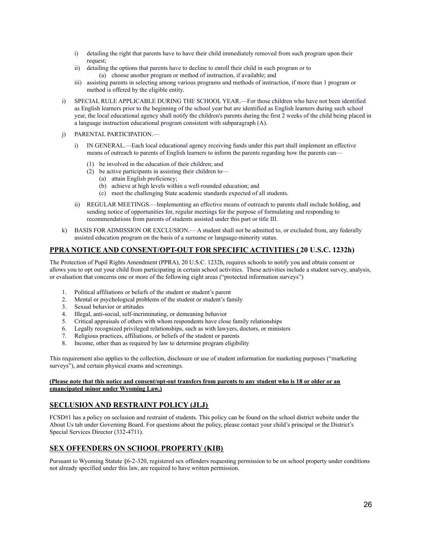- i) detailing the right that parents have to have their child immediately removed from such program upon their request;
- ii) detailing the options that parents have to decline to enroll their child in such program or to (a) choose another program or method of instruction, if available; and
- iii) assisting parents in selecting among various programs and methods of instruction, if more than 1 program or method is offered by the eligible entity.
- i) SPECIAL RULE APPLICABLE DURING THE SCHOOL YEAR.—For those children who have not been identified as English learners prior to the beginning of the school year but are identified as English learners during such school year, the local educational agency shall notify the children's parents during the first 2 weeks of the child being placed in a language instruction educational program consistent with subparagraph (A).
- j) PARENTAL PARTICIPATION.
	- i) IN GENERAL.—Each local educational agency receiving funds under this part shall implement an effective means of outreach to parents of English learners to inform the parents regarding how the parents can—
		- (1) be involved in the education of their children; and
		- (2) be active participants in assisting their children to—
			- (a) attain English proficiency;
			- (b) achieve at high levels within a well-rounded education; and
			- (c) meet the challenging State academic standards expected of all students.
	- ii) REGULAR MEETINGS.—Implementing an effective means of outreach to parents shall include holding, and sending notice of opportunities for, regular meetings for the purpose of formulating and responding to recommendations from parents of students assisted under this part or title III.
- k) BASIS FOR ADMISSION OR EXCLUSION.— A student shall not be admitted to, or excluded from, any federally assisted education program on the basis of a surname or language-minority status.

### **PPRA NOTICE AND CONSENT/OPT-OUT FOR SPECIFIC ACTIVITIES ( 20 U.S.C. 1232h)**

The Protection of Pupil Rights Amendment (PPRA), 20 U.S.C. 1232h, requires schools to notify you and obtain consent or allows you to opt out your child from participating in certain school activities. These activities include a student survey, analysis, or evaluation that concerns one or more of the following eight areas ("protected information surveys")

- 1. Political affiliations or beliefs of the student or student's parent
- 2. Mental or psychological problems of the student or student's family
- 3. Sexual behavior or attitudes
- 4. Illegal, anti-social, self-incriminating, or demeaning behavior
- 5. Critical appraisals of others with whom respondents have close family relationships
- 6. Legally recognized privileged relationships, such as with lawyers, doctors, or ministers
- 7. Religious practices, affiliations, or beliefs of the student or parents
- 8. Income, other than as required by law to determine program eligibility

This requirement also applies to the collection, disclosure or use of student information for marketing purposes ("marketing surveys"), and certain physical exams and screenings.

#### **(Please note that this notice and consent/opt-out transfers from parents to any student who is 18 or older or an emancipated minor under Wyoming Law.)**

### **SECLUSION AND RESTRAINT POLICY (JLJ)**

FCSD#1 has a policy on seclusion and restraint of students. This policy can be found on the school district website under the About Us tab under Governing Board. For questions about the policy, please contact your child's principal or the District's Special Services Director (332-4711).

### **SEX OFFENDERS ON SCHOOL PROPERTY (KIB)**

Pursuant to Wyoming Statute §6-2-320, registered sex offenders requesting permission to be on school property under conditions not already specified under this law, are required to have written permission.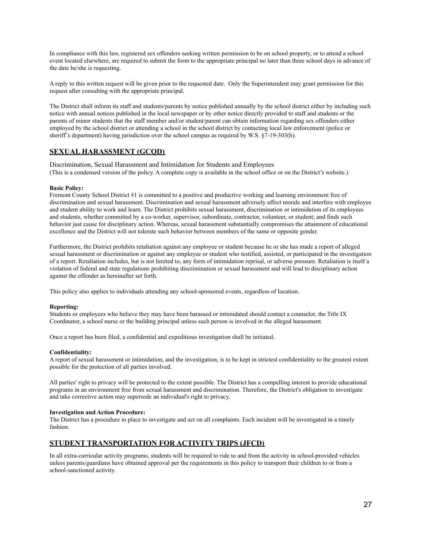In compliance with this law, registered sex offenders seeking written permission to be on school property, or to attend a school event located elsewhere, are required to submit the form to the appropriate principal no later than three school days in advance of the date he/she is requesting.

A reply to this written request will be given prior to the requested date. Only the Superintendent may grant permission for this request after consulting with the appropriate principal.

The District shall inform its staff and students/parents by notice published annually by the school district either by including such notice with annual notices published in the local newspaper or by other notice directly provided to staff and students or the parents of minor students that the staff member and/or student/parent can obtain information regarding sex offenders either employed by the school district or attending a school in the school district by contacting local law enforcement (police or sheriff's department) having jurisdiction over the school campus as required by W.S. §7-19-303(h).

# **SEXUAL HARASSMENT (GCQD)**

Discrimination, Sexual Harassment and Intimidation for Students and Employees (This is a condensed version of the policy. A complete copy is available in the school office or on the District's website.)

#### **Basic Policy:**

Fremont County School District #1 is committed to a positive and productive working and learning environment free of discrimination and sexual harassment. Discrimination and sexual harassment adversely affect morale and interfere with employee and student ability to work and learn. The District prohibits sexual harassment, discrimination or intimidation of its employees and students, whether committed by a co-worker, supervisor, subordinate, contractor, volunteer, or student; and finds such behavior just cause for disciplinary action. Whereas, sexual harassment substantially compromises the attainment of educational excellence and the District will not tolerate such behavior between members of the same or opposite gender.

Furthermore, the District prohibits retaliation against any employee or student because he or she has made a report of alleged sexual harassment or discrimination or against any employee or student who testified, assisted, or participated in the investigation of a report. Retaliation includes, but is not limited to, any form of intimidation reprisal, or adverse pressure. Retaliation is itself a violation of federal and state regulations prohibiting discrimination or sexual harassment and will lead to disciplinary action against the offender as hereinafter set forth.

This policy also applies to individuals attending any school-sponsored events, regardless of location.

#### **Reporting:**

Students or employees who believe they may have been harassed or intimidated should contact a counselor, the Title IX Coordinator, a school nurse or the building principal unless such person is involved in the alleged harassment.

Once a report has been filed, a confidential and expeditious investigation shall be initiated.

#### **Confidentiality:**

A report of sexual harassment or intimidation, and the investigation, is to be kept in strictest confidentiality to the greatest extent possible for the protection of all parties involved.

All parties' right to privacy will be protected to the extent possible. The District has a compelling interest to provide educational programs in an environment free from sexual harassment and discrimination. Therefore, the District's obligation to investigate and take corrective action may supersede an individual's right to privacy.

#### **Investigation and Action Procedure:**

The District has a procedure in place to investigate and act on all complaints. Each incident will be investigated in a timely fashion.

### **STUDENT TRANSPORTATION FOR ACTIVITY TRIPS (JFCD)**

In all extra-curricular activity programs, students will be required to ride to and from the activity in school-provided vehicles unless parents/guardians have obtained approval per the requirements in this policy to transport their children to or from a school-sanctioned activity.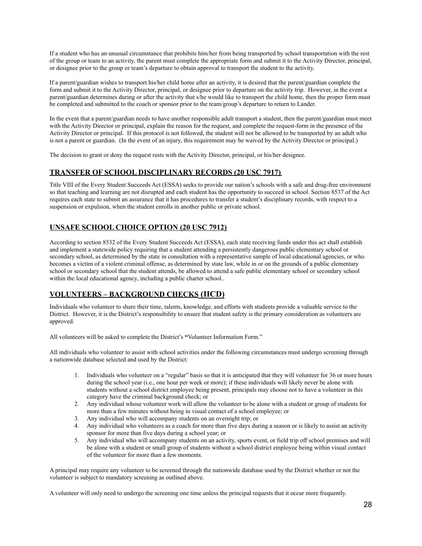If a student who has an unusual circumstance that prohibits him/her from being transported by school transportation with the rest of the group or team to an activity, the parent must complete the appropriate form and submit it to the Activity Director, principal, or designee prior to the group or team's departure to obtain approval to transport the student to the activity.

If a parent/guardian wishes to transport his/her child home after an activity, it is desired that the parent/guardian complete the form and submit it to the Activity Director, principal, or designee prior to departure on the activity trip. However, in the event a parent/guardian determines during or after the activity that s/he would like to transport the child home, then the proper form must be completed and submitted to the coach or sponsor prior to the team/group's departure to return to Lander.

In the event that a parent/guardian needs to have another responsible adult transport a student, then the parent/guardian must meet with the Activity Director or principal, explain the reason for the request, and complete the request-form in the presence of the Activity Director or principal. If this protocol is not followed, the student will not be allowed to be transported by an adult who is not a parent or guardian. (In the event of an injury, this requirement may be waived by the Activity Director or principal.)

The decision to grant or deny the request rests with the Activity Director, principal, or his/her designee.

### **TRANSFER OF SCHOOL DISCIPLINARY RECORDS (20 USC 7917)**

Title VIII of the Every Student Succeeds Act (ESSA) seeks to provide our nation's schools with a safe and drug-free environment so that teaching and learning are not disrupted and each student has the opportunity to succeed in school. Section 8537 of the Act requires each state to submit an assurance that it has procedures to transfer a student's disciplinary records, with respect to a suspension or expulsion, when the student enrolls in another public or private school.

### **UNSAFE SCHOOL CHOICE OPTION (20 USC 7912)**

According to section 8532 of the Every Student Succeeds Act (ESSA), each state receiving funds under this act shall establish and implement a statewide policy requiring that a student attending a persistently dangerous public elementary school or secondary school, as determined by the state in consultation with a representative sample of local educational agencies, or who becomes a victim of a violent criminal offense, as determined by state law, while in or on the grounds of a public elementary school or secondary school that the student attends, be allowed to attend a safe public elementary school or secondary school within the local educational agency, including a public charter school..

### **VOLUNTEERS – BACKGROUND CHECKS (IICD)**

Individuals who volunteer to share their time, talents, knowledge, and efforts with students provide a valuable service to the District. However, it is the District's responsibility to ensure that student safety is the primary consideration as volunteers are approved.

All volunteers will be asked to complete the District's **"**Volunteer Information Form."

All individuals who volunteer to assist with school activities under the following circumstances must undergo screening through a nationwide database selected and used by the District:

- 1. Individuals who volunteer on a "regular" basis so that it is anticipated that they will volunteer for 36 or more hours during the school year (i.e., one hour per week or more); if these individuals will likely never be alone with students without a school district employee being present, principals may choose not to have a volunteer in this category have the criminal background check; or
- 2. Any individual whose volunteer work will allow the volunteer to be alone with a student or group of students for more than a few minutes without being in visual contact of a school employee; or
- 3. Any individual who will accompany students on an overnight trip; or
- 4. Any individual who volunteers as a coach for more than five days during a season or is likely to assist an activity sponsor for more than five days during a school year; or
- 5. Any individual who will accompany students on an activity, sports event, or field trip off school premises and will be alone with a student or small group of students without a school district employee being within visual contact of the volunteer for more than a few moments.

A principal may require any volunteer to be screened through the nationwide database used by the District whether or not the volunteer is subject to mandatory screening as outlined above.

A volunteer will only need to undergo the screening one time unless the principal requests that it occur more frequently.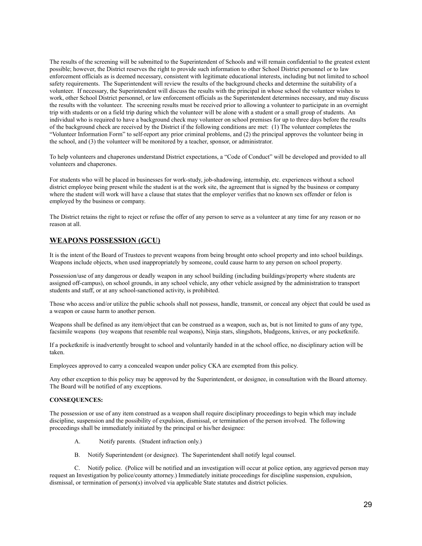The results of the screening will be submitted to the Superintendent of Schools and will remain confidential to the greatest extent possible; however, the District reserves the right to provide such information to other School District personnel or to law enforcement officials as is deemed necessary, consistent with legitimate educational interests, including but not limited to school safety requirements. The Superintendent will review the results of the background checks and determine the suitability of a volunteer. If necessary, the Superintendent will discuss the results with the principal in whose school the volunteer wishes to work, other School District personnel, or law enforcement officials as the Superintendent determines necessary, and may discuss the results with the volunteer. The screening results must be received prior to allowing a volunteer to participate in an overnight trip with students or on a field trip during which the volunteer will be alone with a student or a small group of students. An individual who is required to have a background check may volunteer on school premises for up to three days before the results of the background check are received by the District if the following conditions are met: (1) The volunteer completes the "Volunteer Information Form" to self-report any prior criminal problems, and (2) the principal approves the volunteer being in the school, and (3) the volunteer will be monitored by a teacher, sponsor, or administrator.

To help volunteers and chaperones understand District expectations, a "Code of Conduct" will be developed and provided to all volunteers and chaperones.

For students who will be placed in businesses for work-study, job-shadowing, internship, etc. experiences without a school district employee being present while the student is at the work site, the agreement that is signed by the business or company where the student will work will have a clause that states that the employer verifies that no known sex offender or felon is employed by the business or company.

The District retains the right to reject or refuse the offer of any person to serve as a volunteer at any time for any reason or no reason at all.

### **WEAPONS POSSESSION (GCU)**

It is the intent of the Board of Trustees to prevent weapons from being brought onto school property and into school buildings. Weapons include objects, when used inappropriately by someone, could cause harm to any person on school property.

Possession/use of any dangerous or deadly weapon in any school building (including buildings/property where students are assigned off-campus), on school grounds, in any school vehicle, any other vehicle assigned by the administration to transport students and staff, or at any school-sanctioned activity, is prohibited.

Those who access and/or utilize the public schools shall not possess, handle, transmit, or conceal any object that could be used as a weapon or cause harm to another person.

Weapons shall be defined as any item/object that can be construed as a weapon, such as, but is not limited to guns of any type, facsimile weapons (toy weapons that resemble real weapons), Ninja stars, slingshots, bludgeons, knives, or any pocketknife.

If a pocketknife is inadvertently brought to school and voluntarily handed in at the school office, no disciplinary action will be taken.

Employees approved to carry a concealed weapon under policy CKA are exempted from this policy.

Any other exception to this policy may be approved by the Superintendent, or designee, in consultation with the Board attorney. The Board will be notified of any exceptions.

#### **CONSEQUENCES:**

The possession or use of any item construed as a weapon shall require disciplinary proceedings to begin which may include discipline, suspension and the possibility of expulsion, dismissal, or termination of the person involved. The following proceedings shall be immediately initiated by the principal or his/her designee:

- A. Notify parents. (Student infraction only.)
- B. Notify Superintendent (or designee). The Superintendent shall notify legal counsel.

C. Notify police. (Police will be notified and an investigation will occur at police option, any aggrieved person may request an Investigation by police/county attorney.) Immediately initiate proceedings for discipline suspension, expulsion, dismissal, or termination of person(s) involved via applicable State statutes and district policies.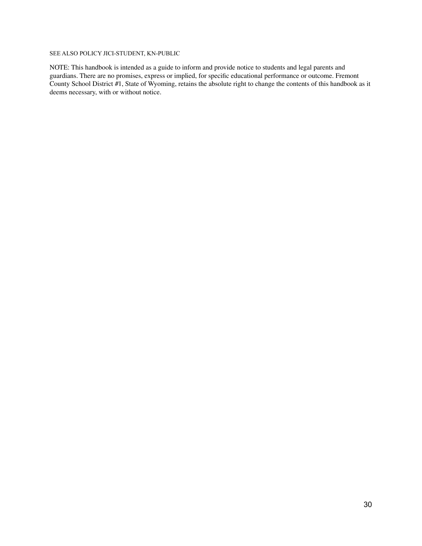### SEE ALSO POLICY JICI-STUDENT, KN-PUBLIC

NOTE: This handbook is intended as a guide to inform and provide notice to students and legal parents and guardians. There are no promises, express or implied, for specific educational performance or outcome. Fremont County School District #1, State of Wyoming, retains the absolute right to change the contents of this handbook as it deems necessary, with or without notice.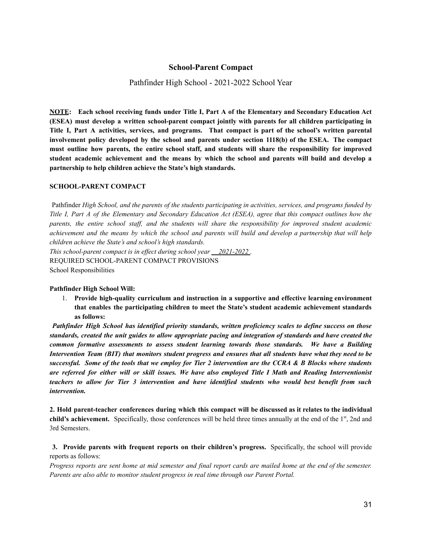### **School-Parent Compact**

Pathfinder High School - 2021-2022 School Year

**NOTE: Each school receiving funds under Title I, Part A of the Elementary and Secondary Education Act (ESEA) must develop a written school-parent compact jointly with parents for all children participating in Title I, Part A activities, services, and programs. That compact is part of the school's written parental involvement policy developed by the school and parents under section 1118(b) of the ESEA. The compact must outline how parents, the entire school staff, and students will share the responsibility for improved student academic achievement and the means by which the school and parents will build and develop a partnership to help children achieve the State's high standards.**

#### **SCHOOL-PARENT COMPACT**

Pathfinder High School, and the parents of the students participating in activities, services, and programs funded by Title I, Part A of the Elementary and Secondary Education Act (ESEA), agree that this compact outlines how the parents, the entire school staff, and the students will share the responsibility for improved student academic achievement and the means by which the school and parents will build and develop a partnership that will help *children achieve the State's and school's high standards. This school-parent compact is in ef ect during school year 2021-2022 .*

REQUIRED SCHOOL-PARENT COMPACT PROVISIONS School Responsibilities

#### **Pathfinder High School Will:**

1. **Provide high-quality curriculum and instruction in a supportive and effective learning environment that enables the participating children to meet the State's student academic achievement standards as follows:**

*Pathfinder High School has identified priority standards, written proficiency scales to define success on those* standards, created the unit guides to allow appropriate pacing and integration of standards and have created the *common formative assessments to assess student learning towards those standards. We have a Building* Intervention Team (BIT) that monitors student progress and ensures that all students have what they need to be successful. Some of the tools that we employ for Tier 2 intervention are the CCRA & B Blocks where students are referred for either will or skill issues. We have also employed Title I Math and Reading Interventionist *teachers to allow for Tier 3 intervention and have identified students who would best benefit from such intervention.*

2. Hold parent-teacher conferences during which this compact will be discussed as it relates to the individual **child's achievement.** Specifically, those conferences will be held three times annually at the end of the 1<sup>st</sup>, 2nd and 3rd Semesters.

**3. Provide parents with frequent reports on their children's progress.** Specifically, the school will provide reports as follows:

Progress reports are sent home at mid semester and final report cards are mailed home at the end of the semester. *Parents are also able to monitor student progress in real time through our Parent Portal.*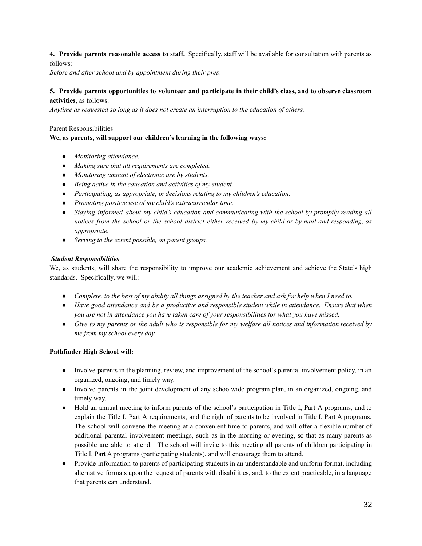**4. Provide parents reasonable access to staff.** Specifically, staff will be available for consultation with parents as follows:

*Before and after school and by appointment during their prep.*

### **5. Provide parents opportunities to volunteer and participate in their child's class, and to observe classroom activities**, as follows:

*Anytime as requested so long as it does not create an interruption to the education of others.*

### Parent Responsibilities

### **We, as parents, will support our children's learning in the following ways:**

- *● Monitoring attendance.*
- *● Making sure that all requirements are completed.*
- *● Monitoring amount of electronic use by students.*
- *● Being active in the education and activities of my student.*
- *● Participating, as appropriate, in decisions relating to my children's education.*
- *● Promoting positive use of my child's extracurricular time.*
- *● Staying informed about my child's education and communicating with the school by promptly reading all* notices from the school or the school district either received by my child or by mail and responding, as *appropriate.*
- *● Serving to the extent possible, on parent groups.*

### *Student Responsibilities*

We, as students, will share the responsibility to improve our academic achievement and achieve the State's high standards. Specifically, we will:

- Complete, to the best of my ability all things assigned by the teacher and ask for help when I need to.
- *● Have good attendance and be a productive and responsible student while in attendance. Ensure that when you are not in attendance you have taken care of your responsibilities for what you have missed.*
- Give to my parents or the adult who is responsible for my welfare all notices and information received by *me from my school every day.*

### **Pathfinder High School will:**

- Involve parents in the planning, review, and improvement of the school's parental involvement policy, in an organized, ongoing, and timely way.
- Involve parents in the joint development of any schoolwide program plan, in an organized, ongoing, and timely way.
- Hold an annual meeting to inform parents of the school's participation in Title I, Part A programs, and to explain the Title I, Part A requirements, and the right of parents to be involved in Title I, Part A programs. The school will convene the meeting at a convenient time to parents, and will offer a flexible number of additional parental involvement meetings, such as in the morning or evening, so that as many parents as possible are able to attend. The school will invite to this meeting all parents of children participating in Title I, Part A programs (participating students), and will encourage them to attend.
- Provide information to parents of participating students in an understandable and uniform format, including alternative formats upon the request of parents with disabilities, and, to the extent practicable, in a language that parents can understand.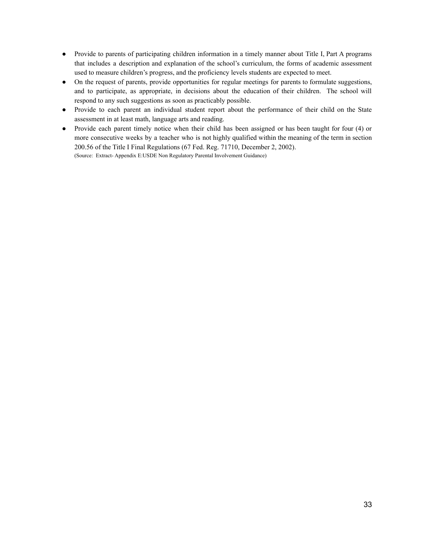- Provide to parents of participating children information in a timely manner about Title I, Part A programs that includes a description and explanation of the school's curriculum, the forms of academic assessment used to measure children's progress, and the proficiency levels students are expected to meet.
- On the request of parents, provide opportunities for regular meetings for parents to formulate suggestions, and to participate, as appropriate, in decisions about the education of their children. The school will respond to any such suggestions as soon as practicably possible.
- Provide to each parent an individual student report about the performance of their child on the State assessment in at least math, language arts and reading.
- Provide each parent timely notice when their child has been assigned or has been taught for four (4) or more consecutive weeks by a teacher who is not highly qualified within the meaning of the term in section 200.56 of the Title I Final Regulations (67 Fed. Reg. 71710, December 2, 2002). (Source: Extract- Appendix E:USDE Non Regulatory Parental Involvement Guidance)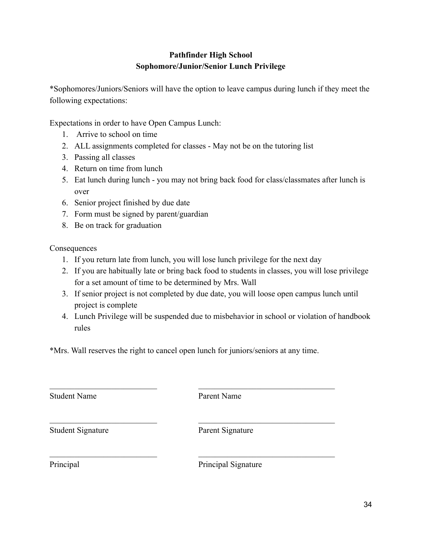# **Pathfinder High School Sophomore/Junior/Senior Lunch Privilege**

\*Sophomores/Juniors/Seniors will have the option to leave campus during lunch if they meet the following expectations:

Expectations in order to have Open Campus Lunch:

- 1. Arrive to school on time
- 2. ALL assignments completed for classes May not be on the tutoring list
- 3. Passing all classes
- 4. Return on time from lunch
- 5. Eat lunch during lunch you may not bring back food for class/classmates after lunch is over
- 6. Senior project finished by due date
- 7. Form must be signed by parent/guardian
- 8. Be on track for graduation

Consequences

- 1. If you return late from lunch, you will lose lunch privilege for the next day
- 2. If you are habitually late or bring back food to students in classes, you will lose privilege for a set amount of time to be determined by Mrs. Wall
- 3. If senior project is not completed by due date, you will loose open campus lunch until project is complete
- 4. Lunch Privilege will be suspended due to misbehavior in school or violation of handbook rules

\*Mrs. Wall reserves the right to cancel open lunch for juniors/seniors at any time.

| <b>Student Name</b>      | Parent Name         |
|--------------------------|---------------------|
| <b>Student Signature</b> | Parent Signature    |
| Principal                | Principal Signature |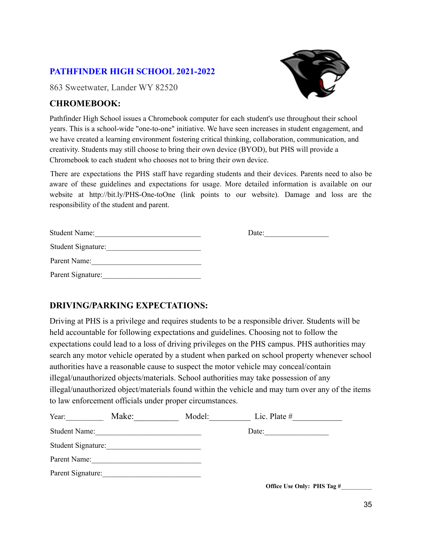# **PATHFINDER HIGH SCHOOL 2021-2022**

863 Sweetwater, Lander WY 82520

# **CHROMEBOOK:**

Pathfinder High School issues a Chromebook computer for each student's use throughout their school years. This is a school-wide "one-to-one" initiative. We have seen increases in student engagement, and we have created a learning environment fostering critical thinking, collaboration, communication, and creativity. Students may still choose to bring their own device (BYOD), but PHS will provide a Chromebook to each student who chooses not to bring their own device.

There are expectations the PHS staff have regarding students and their devices. Parents need to also be aware of these guidelines and expectations for usage. More detailed information is available on our website at http://bit.ly/PHS-One-toOne (link points to our website). Damage and loss are the responsibility of the student and parent.

| <b>Student Name:</b> | Date: |
|----------------------|-------|
| Student Signature:   |       |
| Parent Name:         |       |
| Parent Signature:    |       |

# **DRIVING/PARKING EXPECTATIONS:**

Driving at PHS is a privilege and requires students to be a responsible driver. Students will be held accountable for following expectations and guidelines. Choosing not to follow the expectations could lead to a loss of driving privileges on the PHS campus. PHS authorities may search any motor vehicle operated by a student when parked on school property whenever school authorities have a reasonable cause to suspect the motor vehicle may conceal/contain illegal/unauthorized objects/materials. School authorities may take possession of any illegal/unauthorized object/materials found within the vehicle and may turn over any of the items to law enforcement officials under proper circumstances.

| Year:                | Make: | Model: | Lic. Plate $#$ |
|----------------------|-------|--------|----------------|
| <b>Student Name:</b> |       |        | Date:          |
| Student Signature:   |       |        |                |
| Parent Name:         |       |        |                |
| Parent Signature:    |       |        |                |



**Office Use Only: PHS Tag #**\_\_\_\_\_\_\_\_\_\_